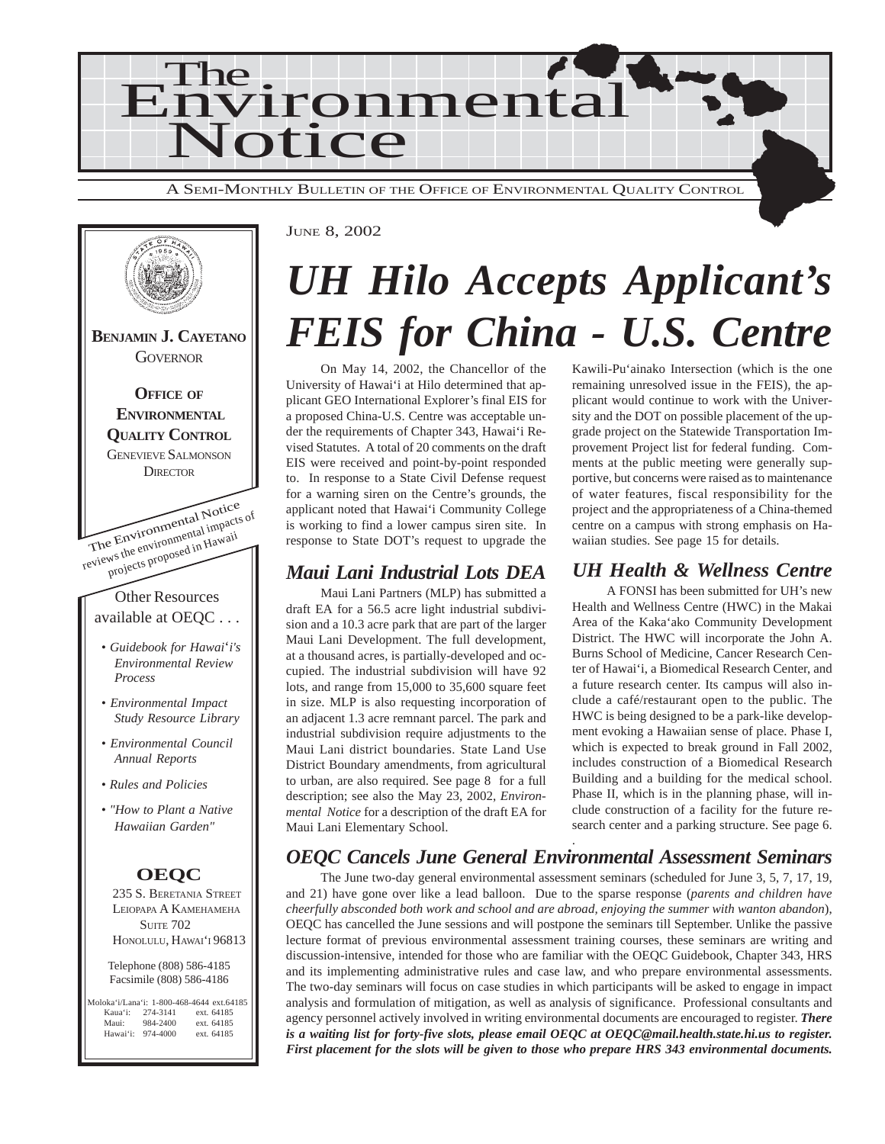



#### JUNE 8, 2002

# *UH Hilo Accepts Applicant's FEIS for China - U.S. Centre*

On May 14, 2002, the Chancellor of the University of Hawai'i at Hilo determined that applicant GEO International Explorer's final EIS for a proposed China-U.S. Centre was acceptable under the requirements of Chapter 343, Hawai'i Revised Statutes. A total of 20 comments on the draft EIS were received and point-by-point responded to. In response to a State Civil Defense request for a warning siren on the Centre's grounds, the applicant noted that Hawai'i Community College is working to find a lower campus siren site. In response to State DOT's request to upgrade the

### *Maui Lani Industrial Lots DEA*

Maui Lani Partners (MLP) has submitted a draft EA for a 56.5 acre light industrial subdivision and a 10.3 acre park that are part of the larger Maui Lani Development. The full development, at a thousand acres, is partially-developed and occupied. The industrial subdivision will have 92 lots, and range from 15,000 to 35,600 square feet in size. MLP is also requesting incorporation of an adjacent 1.3 acre remnant parcel. The park and industrial subdivision require adjustments to the Maui Lani district boundaries. State Land Use District Boundary amendments, from agricultural to urban, are also required. See page 8 for a full description; see also the May 23, 2002, *Environmental Notice* for a description of the draft EA for Maui Lani Elementary School.

#### Kawili-Pu'ainako Intersection (which is the one remaining unresolved issue in the FEIS), the applicant would continue to work with the University and the DOT on possible placement of the upgrade project on the Statewide Transportation Improvement Project list for federal funding. Comments at the public meeting were generally supportive, but concerns were raised as to maintenance of water features, fiscal responsibility for the project and the appropriateness of a China-themed centre on a campus with strong emphasis on Hawaiian studies. See page 15 for details.

### *UH Health & Wellness Centre*

A FONSI has been submitted for UH's new Health and Wellness Centre (HWC) in the Makai Area of the Kaka'ako Community Development District. The HWC will incorporate the John A. Burns School of Medicine, Cancer Research Center of Hawai'i, a Biomedical Research Center, and a future research center. Its campus will also include a café/restaurant open to the public. The HWC is being designed to be a park-like development evoking a Hawaiian sense of place. Phase I, which is expected to break ground in Fall 2002, includes construction of a Biomedical Research Building and a building for the medical school. Phase II, which is in the planning phase, will include construction of a facility for the future research center and a parking structure. See page 6.

#### . *OEQC Cancels June General Environmental Assessment Seminars*

The June two-day general environmental assessment seminars (scheduled for June 3, 5, 7, 17, 19, and 21) have gone over like a lead balloon. Due to the sparse response (*parents and children have cheerfully absconded both work and school and are abroad, enjoying the summer with wanton abandon*), OEQC has cancelled the June sessions and will postpone the seminars till September. Unlike the passive lecture format of previous environmental assessment training courses, these seminars are writing and discussion-intensive, intended for those who are familiar with the OEQC Guidebook, Chapter 343, HRS and its implementing administrative rules and case law, and who prepare environmental assessments. The two-day seminars will focus on case studies in which participants will be asked to engage in impact analysis and formulation of mitigation, as well as analysis of significance. Professional consultants and agency personnel actively involved in writing environmental documents are encouraged to register. *There is a waiting list for forty-five slots, please email OEQC at OEQC@mail.health.state.hi.us to register. First placement for the slots will be given to those who prepare HRS 343 environmental documents.*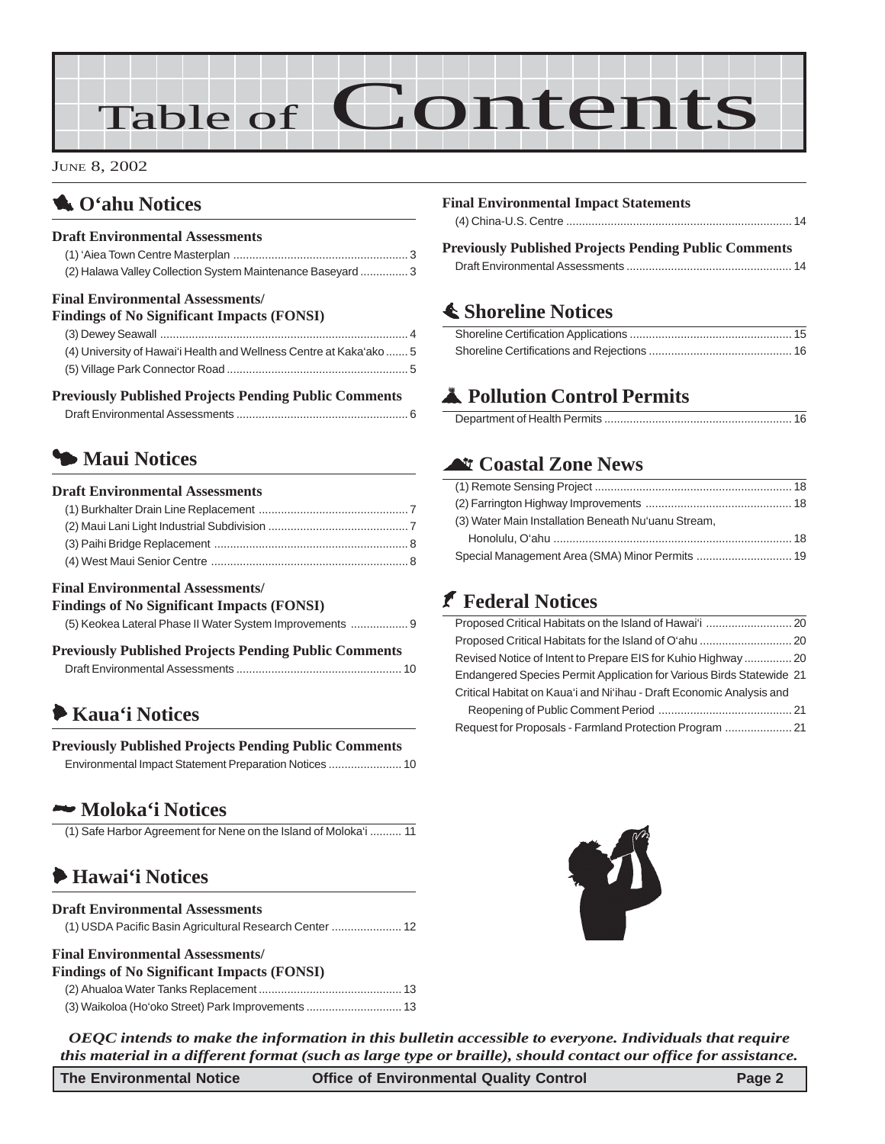# Table of Contents

JUNE 8, 2002

## 1 **O'ahu Notices**

#### **Draft Environmental Assessments**

(1) 'Aiea Town Centre Masterplan [....................................................... 3](#page-2-0) [\(2\) Halawa Valley Collection System Maintenance Baseyard](#page-2-0) ............... 3

### **Final Environmental Assessments/**

|  | <b>Findings of No Significant Impacts (FONSI)</b> |  |
|--|---------------------------------------------------|--|
|  |                                                   |  |

| (4) University of Hawai'i Health and Wellness Centre at Kaka'ako  5 |  |
|---------------------------------------------------------------------|--|
|                                                                     |  |

### **Previously Published Projects Pending Public Comments**

|--|

## 3 **Maui Notices**

#### **Draft Environmental Assessments**

#### **Final Environmental Assessments/**

| <b>Findings of No Significant Impacts (FONSI)</b>     |  |
|-------------------------------------------------------|--|
| (5) Keokea Lateral Phase II Water System Improvements |  |

| <b>Previously Published Projects Pending Public Comments</b> |  |
|--------------------------------------------------------------|--|
|                                                              |  |

## 6 **[Kaua'i Notices](#page-9-0)**

| <b>Previously Published Projects Pending Public Comments</b> |  |
|--------------------------------------------------------------|--|
|                                                              |  |

### 2 **Moloka'i Notices**

[\(1\) Safe Harbor Agreement for Nene on the Island of Moloka'i .......... 11](#page-10-0)

### 6 **[Hawai'i Notices](#page-11-0)**

### **Draft Environmental Assessments** [\(1\) USDA Pacific Basin Agricultural Research Center ...................... 12](#page-11-0)

### **Final Environmental Assessments/**

| <b>Findings of No Significant Impacts (FONSI)</b> |  |
|---------------------------------------------------|--|
|                                                   |  |
|                                                   |  |

| <b>Final Environmental Impact Statements</b> |  |
|----------------------------------------------|--|
|                                              |  |

### **Previously Published Projects Pending Public Comments**

[Draft Environmental Assessments .................................................... 14](#page-13-0)

### s **[Shoreline Notices](#page-14-0)**

## V **Pollution Control Permits**

### ^ **Coastal Zone News**

| (3) Water Main Installation Beneath Nu'uanu Stream, |  |
|-----------------------------------------------------|--|
|                                                     |  |
| Special Management Area (SMA) Minor Permits  19     |  |

### J **Federal Notices**

| Revised Notice of Intent to Prepare EIS for Kuhio Highway  20        |  |
|----------------------------------------------------------------------|--|
| Endangered Species Permit Application for Various Birds Statewide 21 |  |
| Critical Habitat on Kaua'i and Ni'ihau - Draft Economic Analysis and |  |
|                                                                      |  |
|                                                                      |  |



*OEQC intends to make the information in this bulletin accessible to everyone. Individuals that require this material in a different format (such as large type or braille), should contact our office for assistance.*

| <b>The Environmental Notice</b> | <b>Office of Environmental Quality Control</b> | Page 2 |
|---------------------------------|------------------------------------------------|--------|
|                                 |                                                |        |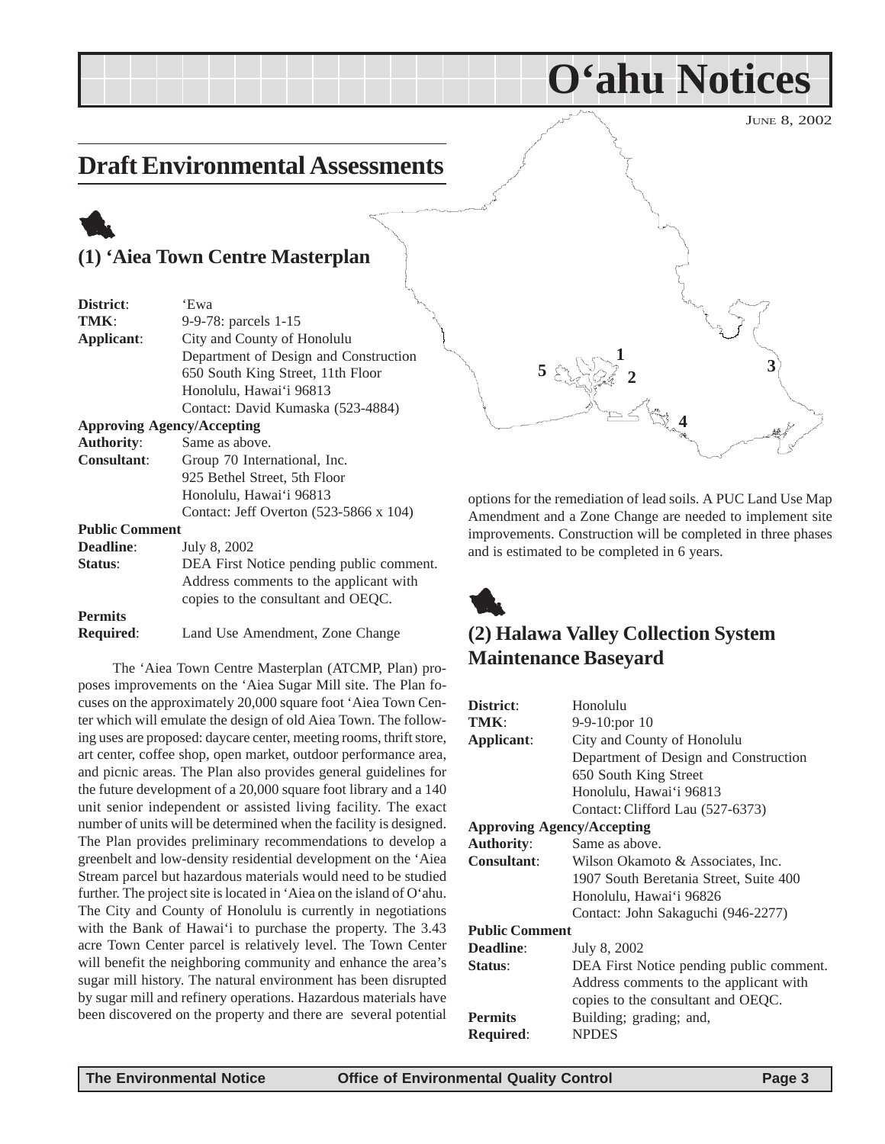JUNE 8, 2002

## <span id="page-2-0"></span>**Draft Environmental Assessments**

## 1 **(1) 'Aiea Town Centre Masterplan**

| District:                         | 'Ewa                                     |  |
|-----------------------------------|------------------------------------------|--|
| TMK:                              | 9-9-78: parcels 1-15                     |  |
| Applicant:                        | City and County of Honolulu              |  |
|                                   | Department of Design and Construction    |  |
|                                   | 650 South King Street, 11th Floor        |  |
|                                   | Honolulu, Hawai'i 96813                  |  |
|                                   | Contact: David Kumaska (523-4884)        |  |
| <b>Approving Agency/Accepting</b> |                                          |  |
| <b>Authority:</b>                 | Same as above.                           |  |
| <b>Consultant:</b>                | Group 70 International, Inc.             |  |
|                                   | 925 Bethel Street, 5th Floor             |  |
|                                   | Honolulu, Hawai'i 96813                  |  |
|                                   | Contact: Jeff Overton (523-5866 x 104)   |  |
| <b>Public Comment</b>             |                                          |  |
| <b>Deadline:</b>                  | July 8, 2002                             |  |
| Status:                           | DEA First Notice pending public comment. |  |
|                                   | Address comments to the applicant with   |  |
|                                   | copies to the consultant and OEQC.       |  |
| <b>Permits</b>                    |                                          |  |

**Required**: Land Use Amendment, Zone Change

The 'Aiea Town Centre Masterplan (ATCMP, Plan) proposes improvements on the 'Aiea Sugar Mill site. The Plan focuses on the approximately 20,000 square foot 'Aiea Town Center which will emulate the design of old Aiea Town. The following uses are proposed: daycare center, meeting rooms, thrift store, art center, coffee shop, open market, outdoor performance area, and picnic areas. The Plan also provides general guidelines for the future development of a 20,000 square foot library and a 140 unit senior independent or assisted living facility. The exact number of units will be determined when the facility is designed. The Plan provides preliminary recommendations to develop a greenbelt and low-density residential development on the 'Aiea Stream parcel but hazardous materials would need to be studied further. The project site is located in 'Aiea on the island of O'ahu. The City and County of Honolulu is currently in negotiations with the Bank of Hawai'i to purchase the property. The 3.43 acre Town Center parcel is relatively level. The Town Center will benefit the neighboring community and enhance the area's sugar mill history. The natural environment has been disrupted by sugar mill and refinery operations. Hazardous materials have been discovered on the property and there are several potential



**O'ahu Notices**

options for the remediation of lead soils. A PUC Land Use Map Amendment and a Zone Change are needed to implement site improvements. Construction will be completed in three phases and is estimated to be completed in 6 years.



### **(2) Halawa Valley Collection System Maintenance Baseyard**

| District:                                               | Honolulu                                 |  |
|---------------------------------------------------------|------------------------------------------|--|
| TMK:                                                    | $9-9-10$ : por $10$                      |  |
| Applicant:                                              | City and County of Honolulu              |  |
|                                                         | Department of Design and Construction    |  |
|                                                         | 650 South King Street                    |  |
|                                                         | Honolulu, Hawai'i 96813                  |  |
|                                                         | Contact: Clifford Lau (527-6373)         |  |
| <b>Approving Agency/Accepting</b>                       |                                          |  |
| <b>Authority:</b>                                       | Same as above.                           |  |
| <b>Consultant:</b><br>Wilson Okamoto & Associates, Inc. |                                          |  |
|                                                         | 1907 South Beretania Street, Suite 400   |  |
|                                                         | Honolulu, Hawai'i 96826                  |  |
|                                                         | Contact: John Sakaguchi (946-2277)       |  |
| <b>Public Comment</b>                                   |                                          |  |
| <b>Deadline:</b>                                        | July 8, 2002                             |  |
| Status:                                                 | DEA First Notice pending public comment. |  |
|                                                         | Address comments to the applicant with   |  |
|                                                         | copies to the consultant and OEQC.       |  |
| <b>Permits</b>                                          | Building; grading; and,                  |  |
| <b>Required:</b>                                        | <b>NPDES</b>                             |  |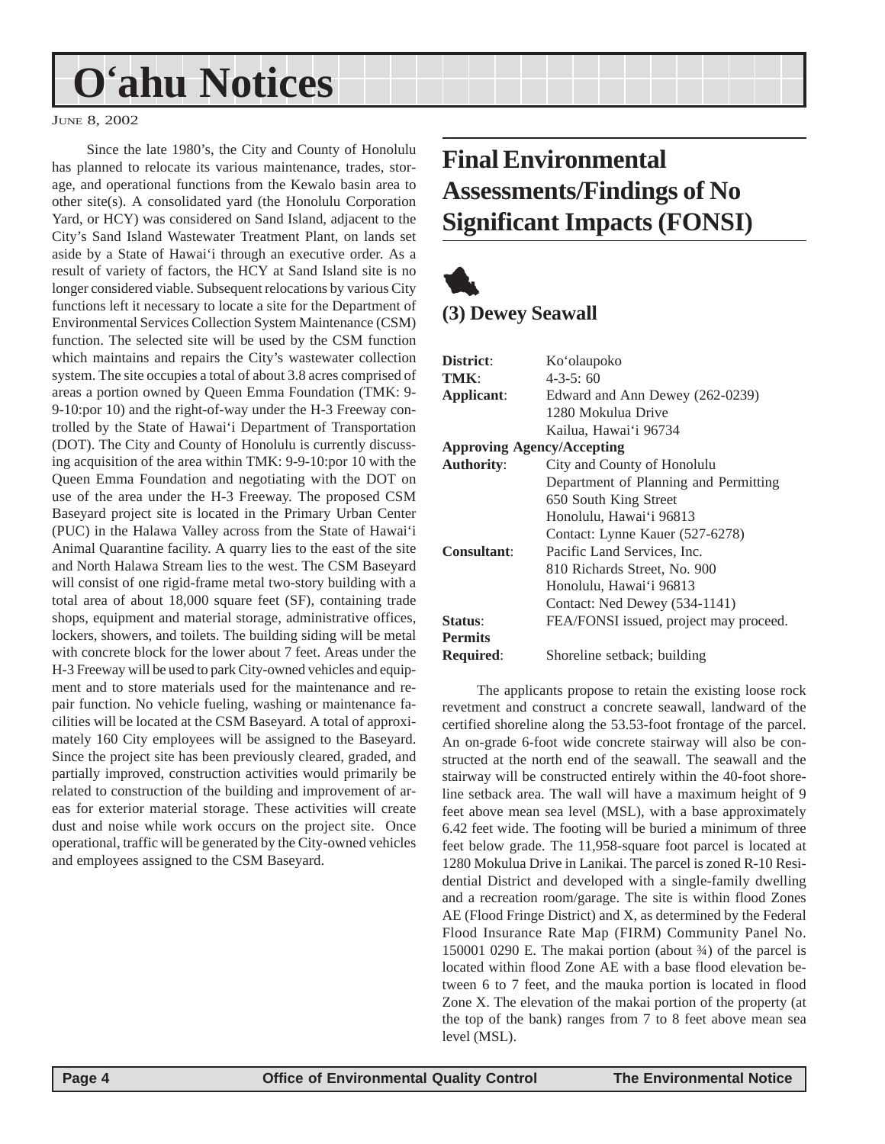# <span id="page-3-0"></span>**O'ahu Notices**

JUNE 8, 2002

Since the late 1980's, the City and County of Honolulu has planned to relocate its various maintenance, trades, storage, and operational functions from the Kewalo basin area to other site(s). A consolidated yard (the Honolulu Corporation Yard, or HCY) was considered on Sand Island, adjacent to the City's Sand Island Wastewater Treatment Plant, on lands set aside by a State of Hawai'i through an executive order. As a result of variety of factors, the HCY at Sand Island site is no longer considered viable. Subsequent relocations by various City functions left it necessary to locate a site for the Department of Environmental Services Collection System Maintenance (CSM) function. The selected site will be used by the CSM function which maintains and repairs the City's wastewater collection system. The site occupies a total of about 3.8 acres comprised of areas a portion owned by Queen Emma Foundation (TMK: 9- 9-10:por 10) and the right-of-way under the H-3 Freeway controlled by the State of Hawai'i Department of Transportation (DOT). The City and County of Honolulu is currently discussing acquisition of the area within TMK: 9-9-10:por 10 with the Queen Emma Foundation and negotiating with the DOT on use of the area under the H-3 Freeway. The proposed CSM Baseyard project site is located in the Primary Urban Center (PUC) in the Halawa Valley across from the State of Hawai'i Animal Quarantine facility. A quarry lies to the east of the site and North Halawa Stream lies to the west. The CSM Baseyard will consist of one rigid-frame metal two-story building with a total area of about 18,000 square feet (SF), containing trade shops, equipment and material storage, administrative offices, lockers, showers, and toilets. The building siding will be metal with concrete block for the lower about 7 feet. Areas under the H-3 Freeway will be used to park City-owned vehicles and equipment and to store materials used for the maintenance and repair function. No vehicle fueling, washing or maintenance facilities will be located at the CSM Baseyard. A total of approximately 160 City employees will be assigned to the Baseyard. Since the project site has been previously cleared, graded, and partially improved, construction activities would primarily be related to construction of the building and improvement of areas for exterior material storage. These activities will create dust and noise while work occurs on the project site. Once operational, traffic will be generated by the City-owned vehicles and employees assigned to the CSM Baseyard.

## **Final Environmental Assessments/Findings of No Significant Impacts (FONSI)**

## 1 **(3) Dewey Seawall**

| District:                                        | Ko'olaupoko                            |  |  |
|--------------------------------------------------|----------------------------------------|--|--|
| TMK:                                             | $4 - 3 - 5$ ; 60                       |  |  |
| Applicant:                                       | Edward and Ann Dewey (262-0239)        |  |  |
|                                                  | 1280 Mokulua Drive                     |  |  |
|                                                  | Kailua, Hawai'i 96734                  |  |  |
| <b>Approving Agency/Accepting</b>                |                                        |  |  |
| <b>Authority:</b><br>City and County of Honolulu |                                        |  |  |
|                                                  | Department of Planning and Permitting  |  |  |
|                                                  | 650 South King Street                  |  |  |
|                                                  | Honolulu, Hawai'i 96813                |  |  |
|                                                  | Contact: Lynne Kauer (527-6278)        |  |  |
| Consultant:                                      | Pacific Land Services, Inc.            |  |  |
|                                                  | 810 Richards Street, No. 900           |  |  |
|                                                  | Honolulu, Hawai'i 96813                |  |  |
|                                                  | Contact: Ned Dewey (534-1141)          |  |  |
| Status:                                          | FEA/FONSI issued, project may proceed. |  |  |
| <b>Permits</b>                                   |                                        |  |  |
| <b>Required:</b>                                 | Shoreline setback; building            |  |  |

The applicants propose to retain the existing loose rock revetment and construct a concrete seawall, landward of the certified shoreline along the 53.53-foot frontage of the parcel. An on-grade 6-foot wide concrete stairway will also be constructed at the north end of the seawall. The seawall and the stairway will be constructed entirely within the 40-foot shoreline setback area. The wall will have a maximum height of 9 feet above mean sea level (MSL), with a base approximately 6.42 feet wide. The footing will be buried a minimum of three feet below grade. The 11,958-square foot parcel is located at 1280 Mokulua Drive in Lanikai. The parcel is zoned R-10 Residential District and developed with a single-family dwelling and a recreation room/garage. The site is within flood Zones AE (Flood Fringe District) and X, as determined by the Federal Flood Insurance Rate Map (FIRM) Community Panel No. 150001 0290 E. The makai portion (about  $\frac{3}{4}$ ) of the parcel is located within flood Zone AE with a base flood elevation between 6 to 7 feet, and the mauka portion is located in flood Zone X. The elevation of the makai portion of the property (at the top of the bank) ranges from 7 to 8 feet above mean sea level (MSL).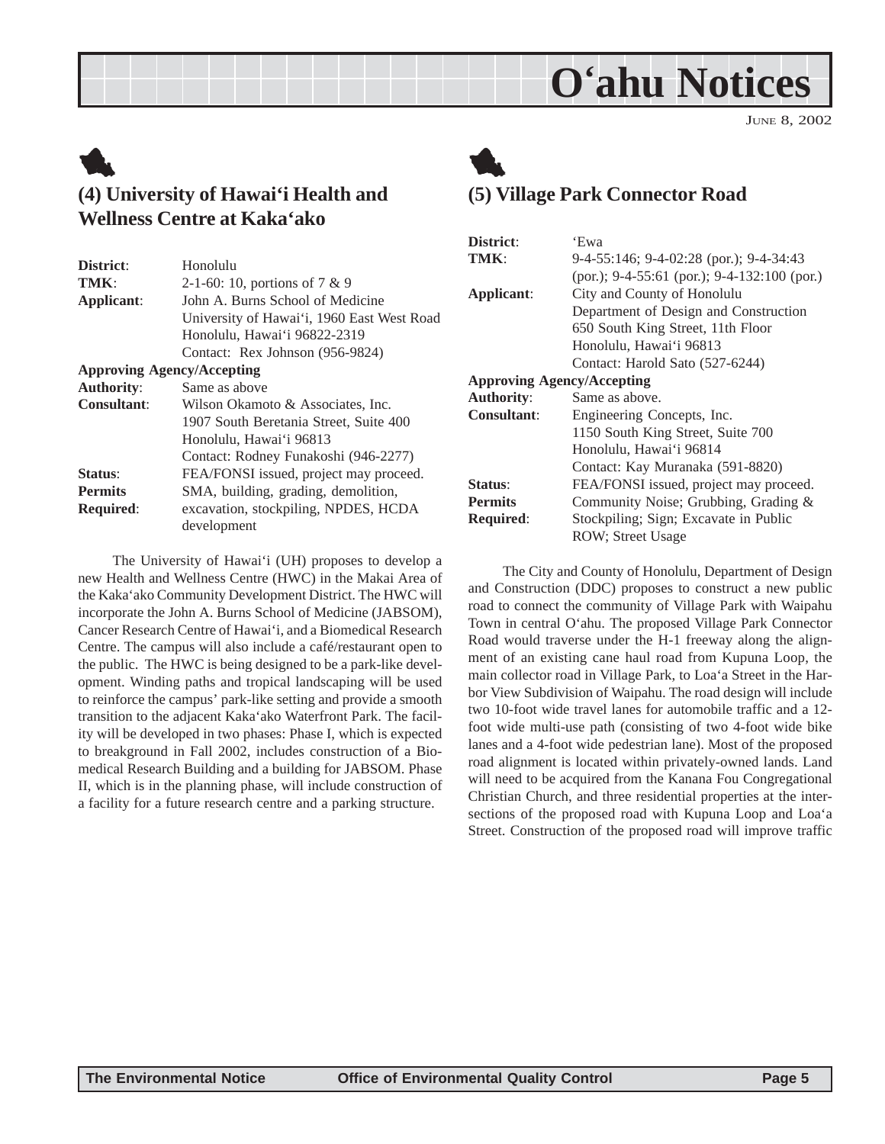## **O'ahu Notices**

JUNE 8, 2002

## <span id="page-4-0"></span>1 **(4) University of Hawai'i Health and Wellness Centre at Kaka'ako**

| District:          | Honolulu                                   |  |  |
|--------------------|--------------------------------------------|--|--|
| TMK:               | 2-1-60: 10, portions of $7 \& 9$           |  |  |
| Applicant:         | John A. Burns School of Medicine           |  |  |
|                    | University of Hawai'i, 1960 East West Road |  |  |
|                    | Honolulu, Hawai'i 96822-2319               |  |  |
|                    | Contact: Rex Johnson (956-9824)            |  |  |
|                    | <b>Approving Agency/Accepting</b>          |  |  |
| <b>Authority:</b>  | Same as above                              |  |  |
| <b>Consultant:</b> | Wilson Okamoto & Associates, Inc.          |  |  |
|                    | 1907 South Beretania Street, Suite 400     |  |  |
|                    | Honolulu, Hawai'i 96813                    |  |  |
|                    | Contact: Rodney Funakoshi (946-2277)       |  |  |
| Status:            | FEA/FONSI issued, project may proceed.     |  |  |
| <b>Permits</b>     | SMA, building, grading, demolition,        |  |  |
| <b>Required:</b>   | excavation, stockpiling, NPDES, HCDA       |  |  |
|                    | development                                |  |  |

The University of Hawai'i (UH) proposes to develop a new Health and Wellness Centre (HWC) in the Makai Area of the Kaka'ako Community Development District. The HWC will incorporate the John A. Burns School of Medicine (JABSOM), Cancer Research Centre of Hawai'i, and a Biomedical Research Centre. The campus will also include a café/restaurant open to the public. The HWC is being designed to be a park-like development. Winding paths and tropical landscaping will be used to reinforce the campus' park-like setting and provide a smooth transition to the adjacent Kaka'ako Waterfront Park. The facility will be developed in two phases: Phase I, which is expected to breakground in Fall 2002, includes construction of a Biomedical Research Building and a building for JABSOM. Phase II, which is in the planning phase, will include construction of a facility for a future research centre and a parking structure.



### **(5) Village Park Connector Road**

| District:                         | 'Ewa                                             |
|-----------------------------------|--------------------------------------------------|
| TMK:                              | 9-4-55:146; 9-4-02:28 (por.); 9-4-34:43          |
|                                   | (por.); $9-4-55:61$ (por.); $9-4-132:100$ (por.) |
| Applicant:                        | City and County of Honolulu                      |
|                                   | Department of Design and Construction            |
|                                   | 650 South King Street, 11th Floor                |
|                                   | Honolulu, Hawai'i 96813                          |
|                                   | Contact: Harold Sato (527-6244)                  |
| <b>Approving Agency/Accepting</b> |                                                  |
| <b>Authority:</b>                 | Same as above.                                   |
| <b>Consultant:</b>                | Engineering Concepts, Inc.                       |
|                                   | 1150 South King Street, Suite 700                |
|                                   | Honolulu, Hawai'i 96814                          |
|                                   | Contact: Kay Muranaka (591-8820)                 |
| Status:                           | FEA/FONSI issued, project may proceed.           |
| <b>Permits</b>                    | Community Noise; Grubbing, Grading &             |
| <b>Required:</b>                  | Stockpiling; Sign; Excavate in Public            |
|                                   | <b>ROW</b> ; Street Usage                        |

The City and County of Honolulu, Department of Design and Construction (DDC) proposes to construct a new public road to connect the community of Village Park with Waipahu Town in central O'ahu. The proposed Village Park Connector Road would traverse under the H-1 freeway along the alignment of an existing cane haul road from Kupuna Loop, the main collector road in Village Park, to Loa'a Street in the Harbor View Subdivision of Waipahu. The road design will include two 10-foot wide travel lanes for automobile traffic and a 12 foot wide multi-use path (consisting of two 4-foot wide bike lanes and a 4-foot wide pedestrian lane). Most of the proposed road alignment is located within privately-owned lands. Land will need to be acquired from the Kanana Fou Congregational Christian Church, and three residential properties at the intersections of the proposed road with Kupuna Loop and Loa'a Street. Construction of the proposed road will improve traffic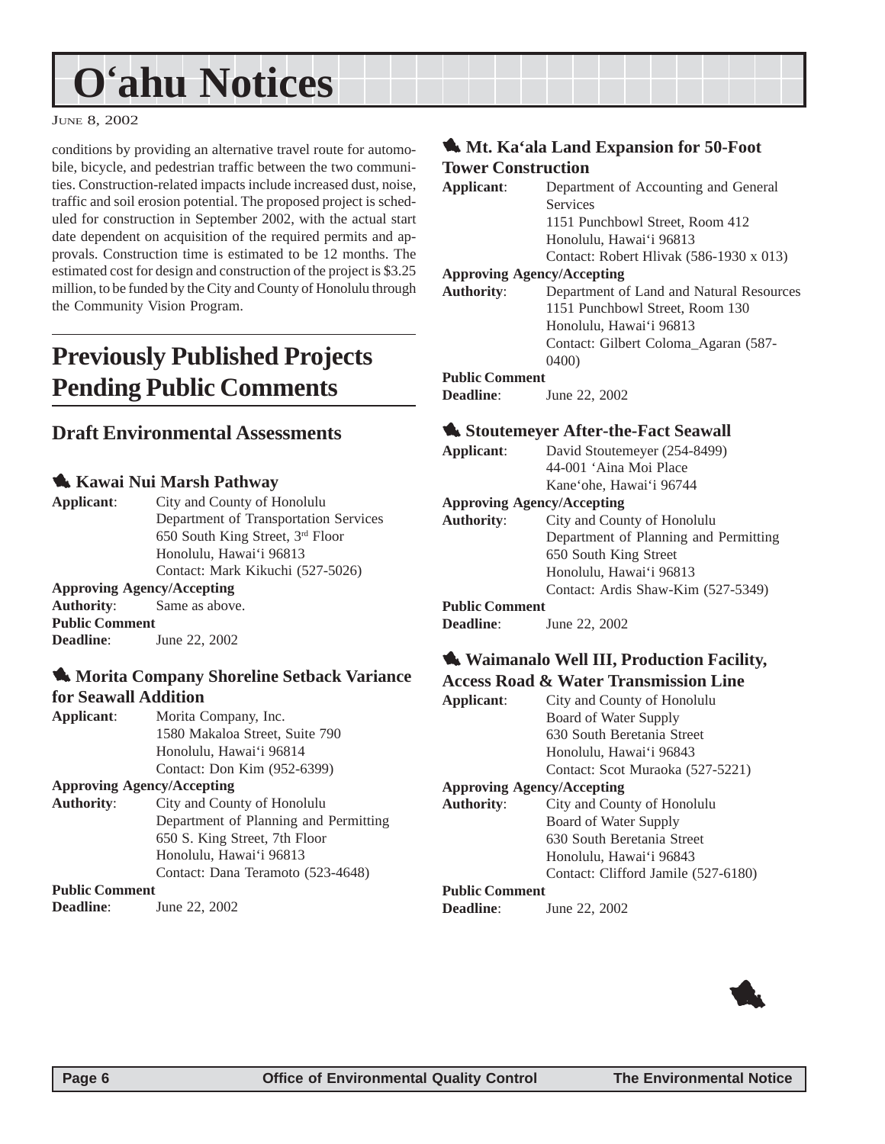# <span id="page-5-0"></span>**O'ahu Notices**

#### JUNE 8, 2002

conditions by providing an alternative travel route for automobile, bicycle, and pedestrian traffic between the two communities. Construction-related impacts include increased dust, noise, traffic and soil erosion potential. The proposed project is scheduled for construction in September 2002, with the actual start date dependent on acquisition of the required permits and approvals. Construction time is estimated to be 12 months. The estimated cost for design and construction of the project is \$3.25 million, to be funded by the City and County of Honolulu through the Community Vision Program.

## **Previously Published Projects Pending Public Comments**

### **Draft Environmental Assessments**

### 1 **Kawai Nui Marsh Pathway**

| Applicant:                        | City and County of Honolulu           |  |
|-----------------------------------|---------------------------------------|--|
|                                   | Department of Transportation Services |  |
|                                   | 650 South King Street, 3rd Floor      |  |
|                                   | Honolulu, Hawai'i 96813               |  |
|                                   | Contact: Mark Kikuchi (527-5026)      |  |
| <b>Approving Agency/Accepting</b> |                                       |  |
| <b>Authority:</b> Same as above.  |                                       |  |
| <b>Public Comment</b>             |                                       |  |

**Deadline**: June 22, 2002

### **1. Morita Company Shoreline Setback Variance for Seawall Addition**

**Applicant**: Morita Company, Inc. 1580 Makaloa Street, Suite 790 Honolulu, Hawai'i 96814 Contact: Don Kim (952-6399)

#### **Approving Agency/Accepting**

**Authority**: City and County of Honolulu Department of Planning and Permitting 650 S. King Street, 7th Floor Honolulu, Hawai'i 96813 Contact: Dana Teramoto (523-4648)

**Public Comment**

**Deadline**: June 22, 2002

### **1. Mt. Ka'ala Land Expansion for 50-Foot Tower Construction**

| Applicant:            | Department of Accounting and General     |
|-----------------------|------------------------------------------|
|                       | <b>Services</b>                          |
|                       | 1151 Punchbowl Street, Room 412          |
|                       | Honolulu, Hawai'i 96813                  |
|                       | Contact: Robert Hlivak (586-1930 x 013)  |
|                       | <b>Approving Agency/Accepting</b>        |
| <b>Authority:</b>     | Department of Land and Natural Resources |
|                       | 1151 Punchbowl Street, Room 130          |
|                       | Honolulu, Hawai'i 96813                  |
|                       | Contact: Gilbert Coloma Agaran (587-     |
|                       | 0400                                     |
| <b>Public Comment</b> |                                          |
| <b>Deadline:</b>      | June 22, 2002                            |

**Applicant**: David Stoutemeyer (254-8499) 44-001 'Aina Moi Place Kane'ohe, Hawai'i 96744 **Approving Agency/Accepting Authority**: City and County of Honolulu Department of Planning and Permitting 650 South King Street Honolulu, Hawai'i 96813 Contact: Ardis Shaw-Kim (527-5349) **Public Comment Deadline**: June 22, 2002

#### **1. Waimanalo Well III, Production Facility, Access Road & Water Transmission Line**

|            |  | тессов точе се ттатег тганонивного пис |
|------------|--|----------------------------------------|
| Applicant: |  | City and County of Honolulu            |
|            |  | Board of Water Supply                  |
|            |  | 630 South Beretania Street             |
|            |  | Honolulu, Hawai'i 96843                |
|            |  | Contact: Scot Muraoka (527-5221)       |
|            |  | $A$ proposing $A$ general $A$ continuo |

#### **Approving Agency/Accepting**

**Authority**: City and County of Honolulu Board of Water Supply 630 South Beretania Street Honolulu, Hawai'i 96843 Contact: Clifford Jamile (527-6180)

#### **Public Comment**

**Deadline:** June 22, 2002

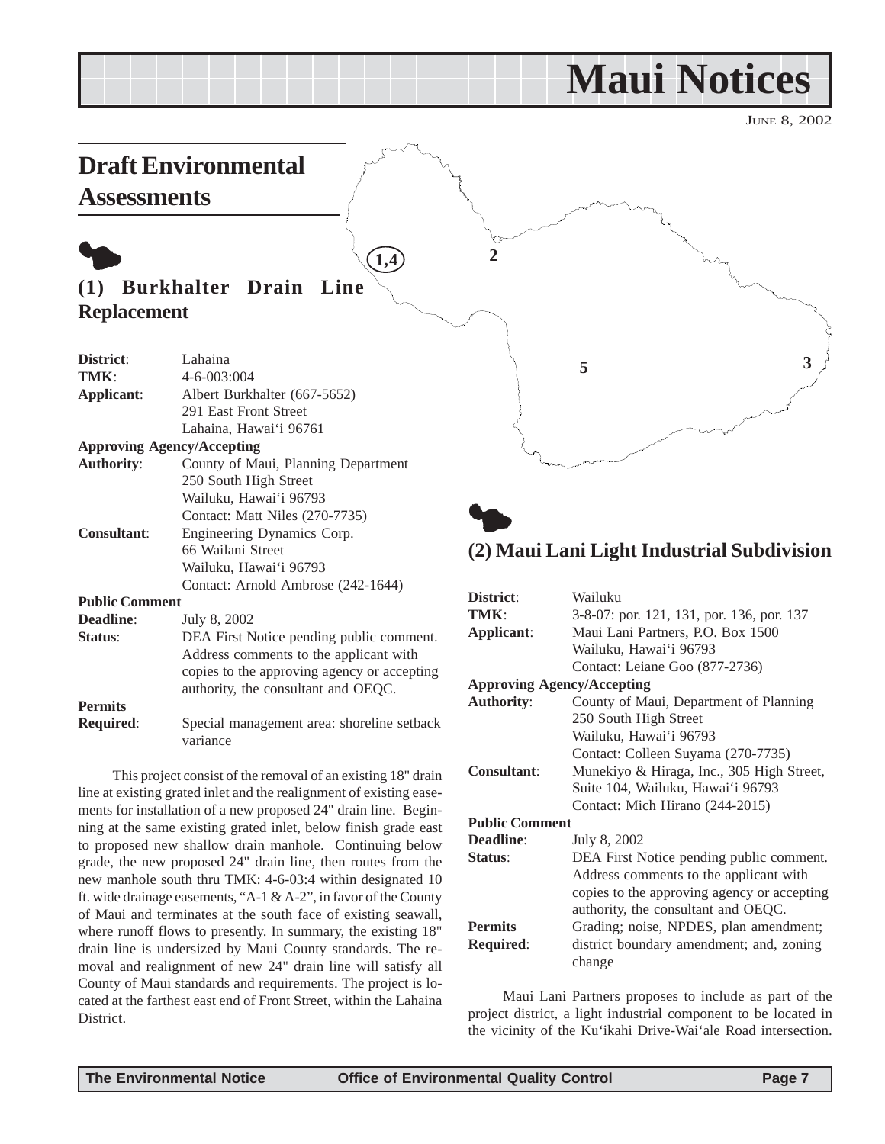## **Maui Notices**

JUNE 8, 2002

<span id="page-6-0"></span>

| <b>Assessments</b>    | <b>Draft Environmental</b>                  |                   |                                                             |
|-----------------------|---------------------------------------------|-------------------|-------------------------------------------------------------|
|                       | 1,4                                         |                   |                                                             |
| (1)                   | Burkhalter Drain<br>Line                    |                   |                                                             |
| <b>Replacement</b>    |                                             |                   |                                                             |
|                       |                                             |                   |                                                             |
| District:             | Lahaina                                     |                   | 3                                                           |
| TMK:                  | 4-6-003:004                                 |                   | 5                                                           |
| Applicant:            | Albert Burkhalter (667-5652)                |                   |                                                             |
|                       | 291 East Front Street                       |                   |                                                             |
|                       | Lahaina, Hawai'i 96761                      |                   |                                                             |
|                       | <b>Approving Agency/Accepting</b>           |                   |                                                             |
| <b>Authority:</b>     | County of Maui, Planning Department         |                   |                                                             |
|                       | 250 South High Street                       |                   |                                                             |
|                       | Wailuku, Hawai'i 96793                      |                   |                                                             |
|                       | Contact: Matt Niles (270-7735)              |                   |                                                             |
| <b>Consultant:</b>    | Engineering Dynamics Corp.                  |                   |                                                             |
|                       | 66 Wailani Street                           |                   | (2) Maui Lani Light Industrial Subdivision                  |
|                       | Wailuku, Hawai'i 96793                      |                   |                                                             |
|                       | Contact: Arnold Ambrose (242-1644)          |                   |                                                             |
| <b>Public Comment</b> |                                             | District:<br>TMK: | Wailuku                                                     |
| Deadline:             | July 8, 2002                                |                   | 3-8-07: por. 121, 131, por. 136, por. 137                   |
| Status:               | DEA First Notice pending public comment.    | Applicant:        | Maui Lani Partners, P.O. Box 1500<br>Wailuku, Hawai'i 96793 |
|                       | Address comments to the applicant with      |                   | Contact: Leiane Goo (877-2736)                              |
|                       | copies to the approving agency or accepting |                   |                                                             |
|                       | authority, the consultant and OEQC.         |                   | <b>Approving Agency/Accepting</b>                           |

### **Permits**

**Required**: Special management area: shoreline setback variance

This project consist of the removal of an existing 18" drain line at existing grated inlet and the realignment of existing easements for installation of a new proposed 24" drain line. Beginning at the same existing grated inlet, below finish grade east to proposed new shallow drain manhole. Continuing below grade, the new proposed 24" drain line, then routes from the new manhole south thru TMK: 4-6-03:4 within designated 10 ft. wide drainage easements, "A-1 & A-2", in favor of the County of Maui and terminates at the south face of existing seawall, where runoff flows to presently. In summary, the existing 18" drain line is undersized by Maui County standards. The removal and realignment of new 24" drain line will satisfy all County of Maui standards and requirements. The project is located at the farthest east end of Front Street, within the Lahaina District.

| District:                         | Wailuku                                     |  |  |
|-----------------------------------|---------------------------------------------|--|--|
| TMK:                              | 3-8-07: por. 121, 131, por. 136, por. 137   |  |  |
| Applicant:                        | Maui Lani Partners, P.O. Box 1500           |  |  |
|                                   | Wailuku, Hawai'i 96793                      |  |  |
|                                   | Contact: Leiane Goo (877-2736)              |  |  |
| <b>Approving Agency/Accepting</b> |                                             |  |  |
| <b>Authority:</b>                 | County of Maui, Department of Planning      |  |  |
|                                   | 250 South High Street                       |  |  |
|                                   | Wailuku, Hawai'i 96793                      |  |  |
|                                   | Contact: Colleen Suyama (270-7735)          |  |  |
| <b>Consultant:</b>                | Munekiyo & Hiraga, Inc., 305 High Street,   |  |  |
|                                   | Suite 104, Wailuku, Hawai'i 96793           |  |  |
|                                   | Contact: Mich Hirano (244-2015)             |  |  |
| <b>Public Comment</b>             |                                             |  |  |
| <b>Deadline:</b>                  | July 8, 2002                                |  |  |
| Status:                           | DEA First Notice pending public comment.    |  |  |
|                                   | Address comments to the applicant with      |  |  |
|                                   | copies to the approving agency or accepting |  |  |
|                                   | authority, the consultant and OEQC.         |  |  |
| <b>Permits</b>                    | Grading; noise, NPDES, plan amendment;      |  |  |
| <b>Required:</b>                  | district boundary amendment; and, zoning    |  |  |
|                                   | change                                      |  |  |

Maui Lani Partners proposes to include as part of the project district, a light industrial component to be located in the vicinity of the Ku'ikahi Drive-Wai'ale Road intersection.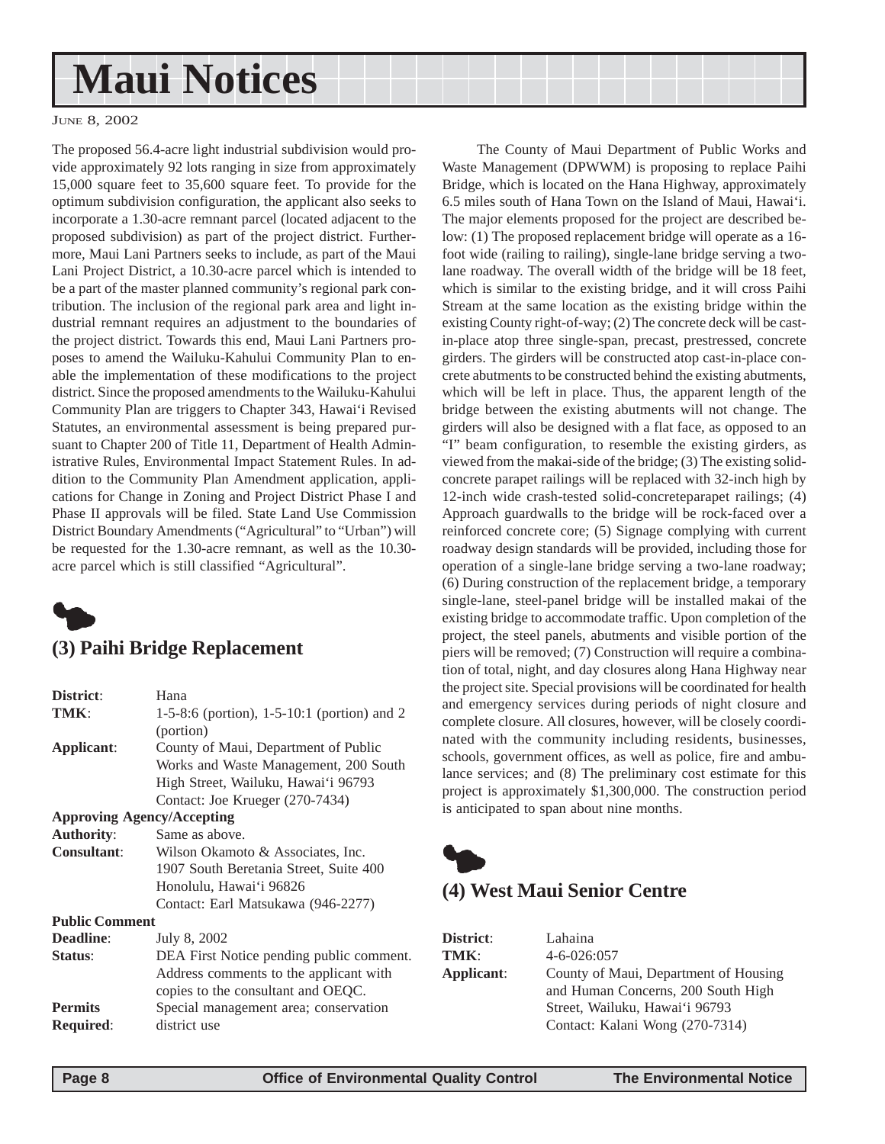# <span id="page-7-0"></span>**Maui Notices**

#### JUNE 8, 2002

The proposed 56.4-acre light industrial subdivision would provide approximately 92 lots ranging in size from approximately 15,000 square feet to 35,600 square feet. To provide for the optimum subdivision configuration, the applicant also seeks to incorporate a 1.30-acre remnant parcel (located adjacent to the proposed subdivision) as part of the project district. Furthermore, Maui Lani Partners seeks to include, as part of the Maui Lani Project District, a 10.30-acre parcel which is intended to be a part of the master planned community's regional park contribution. The inclusion of the regional park area and light industrial remnant requires an adjustment to the boundaries of the project district. Towards this end, Maui Lani Partners proposes to amend the Wailuku-Kahului Community Plan to enable the implementation of these modifications to the project district. Since the proposed amendments to the Wailuku-Kahului Community Plan are triggers to Chapter 343, Hawai'i Revised Statutes, an environmental assessment is being prepared pursuant to Chapter 200 of Title 11, Department of Health Administrative Rules, Environmental Impact Statement Rules. In addition to the Community Plan Amendment application, applications for Change in Zoning and Project District Phase I and Phase II approvals will be filed. State Land Use Commission District Boundary Amendments ("Agricultural" to "Urban") will be requested for the 1.30-acre remnant, as well as the 10.30 acre parcel which is still classified "Agricultural".



### **(3) Paihi Bridge Replacement**

| District:                         | Hana                                          |  |
|-----------------------------------|-----------------------------------------------|--|
| TMK:                              | 1-5-8:6 (portion), $1-5-10:1$ (portion) and 2 |  |
|                                   | (portion)                                     |  |
| Applicant:                        | County of Maui, Department of Public          |  |
|                                   | Works and Waste Management, 200 South         |  |
|                                   | High Street, Wailuku, Hawai'i 96793           |  |
|                                   | Contact: Joe Krueger (270-7434)               |  |
| <b>Approving Agency/Accepting</b> |                                               |  |
| <b>Authority:</b>                 | Same as above.                                |  |
| <b>Consultant:</b>                | Wilson Okamoto & Associates, Inc.             |  |
|                                   | 1907 South Beretania Street, Suite 400        |  |
|                                   | Honolulu, Hawai'i 96826                       |  |
|                                   | Contact: Earl Matsukawa (946-2277)            |  |
| <b>Public Comment</b>             |                                               |  |
| <b>Deadline:</b>                  | July 8, 2002                                  |  |
| Status:                           | DEA First Notice pending public comment.      |  |
|                                   | Address comments to the applicant with        |  |
|                                   | copies to the consultant and OEQC.            |  |
| <b>Permits</b>                    | Special management area; conservation         |  |
| <b>Required:</b>                  | district use                                  |  |

The County of Maui Department of Public Works and Waste Management (DPWWM) is proposing to replace Paihi Bridge, which is located on the Hana Highway, approximately 6.5 miles south of Hana Town on the Island of Maui, Hawai'i. The major elements proposed for the project are described below: (1) The proposed replacement bridge will operate as a 16 foot wide (railing to railing), single-lane bridge serving a twolane roadway. The overall width of the bridge will be 18 feet, which is similar to the existing bridge, and it will cross Paihi Stream at the same location as the existing bridge within the existing County right-of-way; (2) The concrete deck will be castin-place atop three single-span, precast, prestressed, concrete girders. The girders will be constructed atop cast-in-place concrete abutments to be constructed behind the existing abutments, which will be left in place. Thus, the apparent length of the bridge between the existing abutments will not change. The girders will also be designed with a flat face, as opposed to an "I" beam configuration, to resemble the existing girders, as viewed from the makai-side of the bridge; (3) The existing solidconcrete parapet railings will be replaced with 32-inch high by 12-inch wide crash-tested solid-concreteparapet railings; (4) Approach guardwalls to the bridge will be rock-faced over a reinforced concrete core; (5) Signage complying with current roadway design standards will be provided, including those for operation of a single-lane bridge serving a two-lane roadway; (6) During construction of the replacement bridge, a temporary single-lane, steel-panel bridge will be installed makai of the existing bridge to accommodate traffic. Upon completion of the project, the steel panels, abutments and visible portion of the piers will be removed; (7) Construction will require a combination of total, night, and day closures along Hana Highway near the project site. Special provisions will be coordinated for health and emergency services during periods of night closure and complete closure. All closures, however, will be closely coordinated with the community including residents, businesses, schools, government offices, as well as police, fire and ambulance services; and (8) The preliminary cost estimate for this project is approximately \$1,300,000. The construction period is anticipated to span about nine months.



### **(4) West Maui Senior Centre**

| District:  | Lahaina                               |  |  |
|------------|---------------------------------------|--|--|
| TMK:       | $4 - 6 - 026:057$                     |  |  |
| Applicant: | County of Maui, Department of Housing |  |  |
|            | and Human Concerns, 200 South High    |  |  |
|            | Street, Wailuku, Hawai'i 96793        |  |  |
|            | Contact: Kalani Wong (270-7314)       |  |  |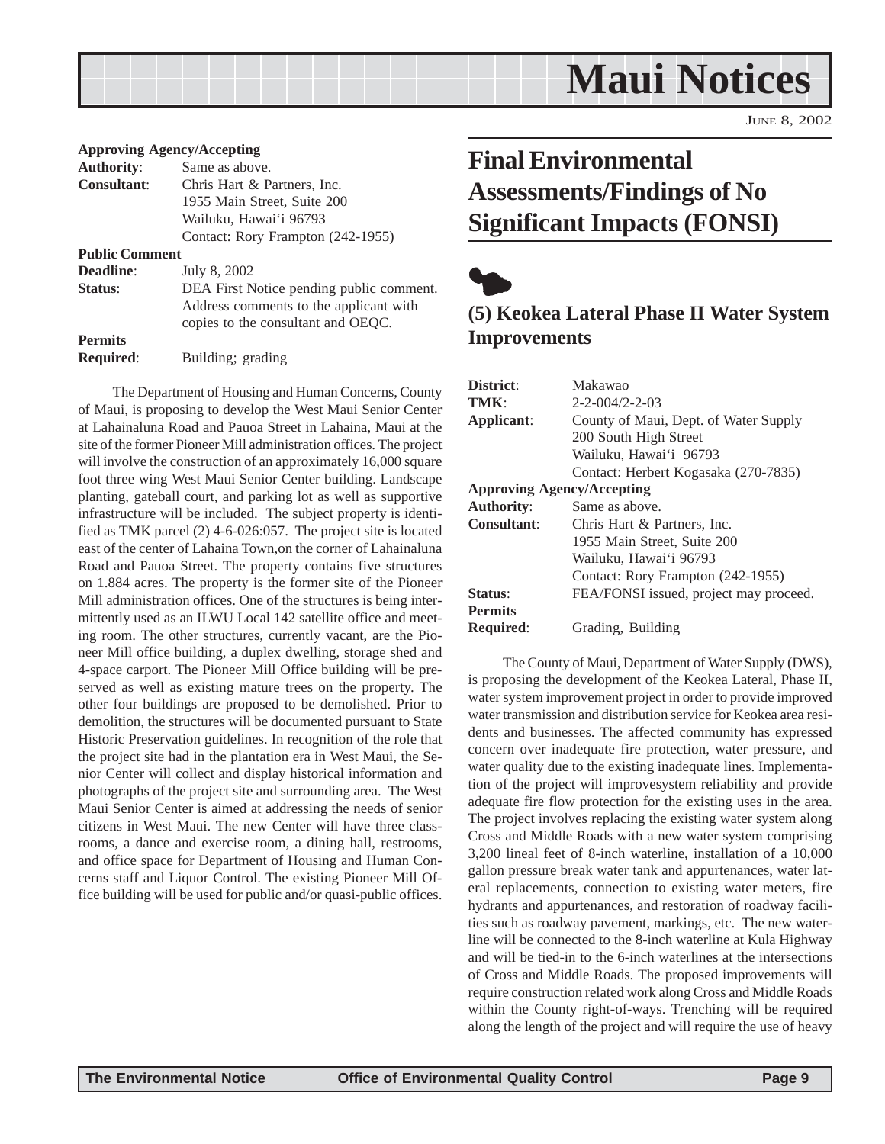<span id="page-8-0"></span>

JUNE 8, 2002

|                       | <b>Approving Agency/Accepting</b>        |
|-----------------------|------------------------------------------|
| <b>Authority:</b>     | Same as above.                           |
| <b>Consultant:</b>    | Chris Hart & Partners, Inc.              |
|                       | 1955 Main Street, Suite 200              |
|                       | Wailuku, Hawai'i 96793                   |
|                       | Contact: Rory Frampton (242-1955)        |
| <b>Public Comment</b> |                                          |
| <b>Deadline:</b>      | July 8, 2002                             |
| <b>Status:</b>        | DEA First Notice pending public comment. |
|                       | Address comments to the applicant with   |
|                       | copies to the consultant and OEQC.       |
| <b>Permits</b>        |                                          |
| <b>Required:</b>      | Building; grading                        |

The Department of Housing and Human Concerns, County of Maui, is proposing to develop the West Maui Senior Center at Lahainaluna Road and Pauoa Street in Lahaina, Maui at the site of the former Pioneer Mill administration offices. The project will involve the construction of an approximately 16,000 square foot three wing West Maui Senior Center building. Landscape planting, gateball court, and parking lot as well as supportive infrastructure will be included. The subject property is identified as TMK parcel (2) 4-6-026:057. The project site is located east of the center of Lahaina Town,on the corner of Lahainaluna Road and Pauoa Street. The property contains five structures on 1.884 acres. The property is the former site of the Pioneer Mill administration offices. One of the structures is being intermittently used as an ILWU Local 142 satellite office and meeting room. The other structures, currently vacant, are the Pioneer Mill office building, a duplex dwelling, storage shed and 4-space carport. The Pioneer Mill Office building will be preserved as well as existing mature trees on the property. The other four buildings are proposed to be demolished. Prior to demolition, the structures will be documented pursuant to State Historic Preservation guidelines. In recognition of the role that the project site had in the plantation era in West Maui, the Senior Center will collect and display historical information and photographs of the project site and surrounding area. The West Maui Senior Center is aimed at addressing the needs of senior citizens in West Maui. The new Center will have three classrooms, a dance and exercise room, a dining hall, restrooms, and office space for Department of Housing and Human Concerns staff and Liquor Control. The existing Pioneer Mill Office building will be used for public and/or quasi-public offices.

## **Final Environmental Assessments/Findings of No Significant Impacts (FONSI)**



### **(5) Keokea Lateral Phase II Water System Improvements**

| District:                         | Makawao                                |  |  |
|-----------------------------------|----------------------------------------|--|--|
| TMK:                              | $2 - 2 - 004/2 - 2 - 03$               |  |  |
| Applicant:                        | County of Maui, Dept. of Water Supply  |  |  |
|                                   | 200 South High Street                  |  |  |
|                                   | Wailuku, Hawai'i 96793                 |  |  |
|                                   | Contact: Herbert Kogasaka (270-7835)   |  |  |
| <b>Approving Agency/Accepting</b> |                                        |  |  |
| <b>Authority:</b>                 | Same as above.                         |  |  |
| <b>Consultant:</b>                | Chris Hart & Partners, Inc.            |  |  |
|                                   | 1955 Main Street, Suite 200            |  |  |
|                                   | Wailuku, Hawai'i 96793                 |  |  |
|                                   | Contact: Rory Frampton (242-1955)      |  |  |
| Status:                           | FEA/FONSI issued, project may proceed. |  |  |
| <b>Permits</b>                    |                                        |  |  |
| <b>Required:</b>                  | Grading, Building                      |  |  |

The County of Maui, Department of Water Supply (DWS), is proposing the development of the Keokea Lateral, Phase II, water system improvement project in order to provide improved water transmission and distribution service for Keokea area residents and businesses. The affected community has expressed concern over inadequate fire protection, water pressure, and water quality due to the existing inadequate lines. Implementation of the project will improvesystem reliability and provide adequate fire flow protection for the existing uses in the area. The project involves replacing the existing water system along Cross and Middle Roads with a new water system comprising 3,200 lineal feet of 8-inch waterline, installation of a 10,000 gallon pressure break water tank and appurtenances, water lateral replacements, connection to existing water meters, fire hydrants and appurtenances, and restoration of roadway facilities such as roadway pavement, markings, etc. The new waterline will be connected to the 8-inch waterline at Kula Highway and will be tied-in to the 6-inch waterlines at the intersections of Cross and Middle Roads. The proposed improvements will require construction related work along Cross and Middle Roads within the County right-of-ways. Trenching will be required along the length of the project and will require the use of heavy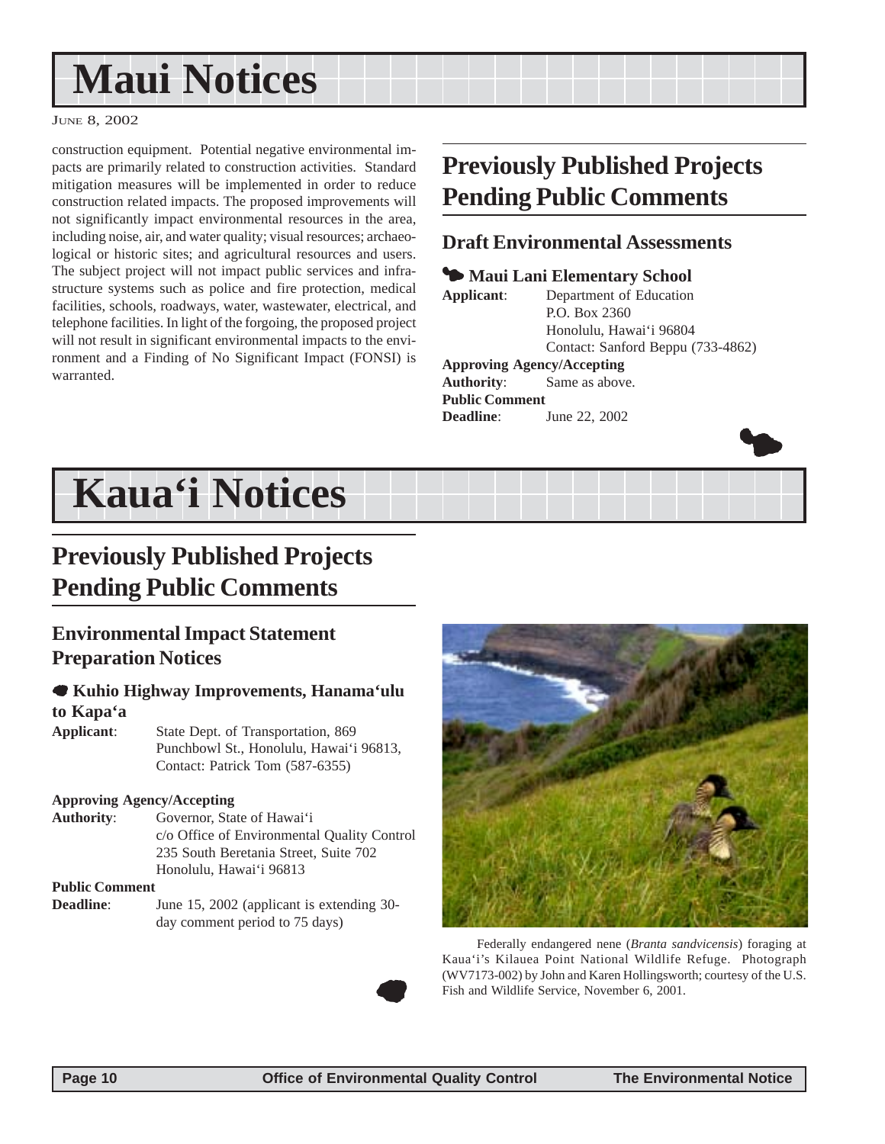# <span id="page-9-0"></span>**Maui Notices**

#### JUNE 8, 2002

construction equipment. Potential negative environmental impacts are primarily related to construction activities. Standard mitigation measures will be implemented in order to reduce construction related impacts. The proposed improvements will not significantly impact environmental resources in the area, including noise, air, and water quality; visual resources; archaeological or historic sites; and agricultural resources and users. The subject project will not impact public services and infrastructure systems such as police and fire protection, medical facilities, schools, roadways, water, wastewater, electrical, and telephone facilities. In light of the forgoing, the proposed project will not result in significant environmental impacts to the environment and a Finding of No Significant Impact (FONSI) is warranted.

## **Previously Published Projects Pending Public Comments**

### **Draft Environmental Assessments**

### **<sup>5</sup> Maui Lani Elementary School**

**Applicant**: Department of Education P.O. Box 2360 Honolulu, Hawai'i 96804 Contact: Sanford Beppu (733-4862)

**Approving Agency/Accepting**

**Authority**: Same as above. **Public Comment Deadline:** June 22, 2002



# **Kaua'i Notices**

## **Previously Published Projects Pending Public Comments**

### **Environmental Impact Statement Preparation Notices**

### 7 **Kuhio Highway Improvements, Hanama'ulu to Kapa'a**

**Applicant**: State Dept. of Transportation, 869 Punchbowl St., Honolulu, Hawai'i 96813, Contact: Patrick Tom (587-6355)

### **Approving Agency/Accepting**

**Authority**: Governor, State of Hawai'i c/o Office of Environmental Quality Control 235 South Beretania Street, Suite 702 Honolulu, Hawai'i 96813

### **Public Comment**

**Deadline**: June 15, 2002 (applicant is extending 30day comment period to 75 days)



Federally endangered nene (*Branta sandvicensis*) foraging at Kaua'i's Kilauea Point National Wildlife Refuge. Photograph (WV7173-002) by John and Karen Hollingsworth; courtesy of the U.S. Fish and Wildlife Service, November 6, 2001.

 $\bullet$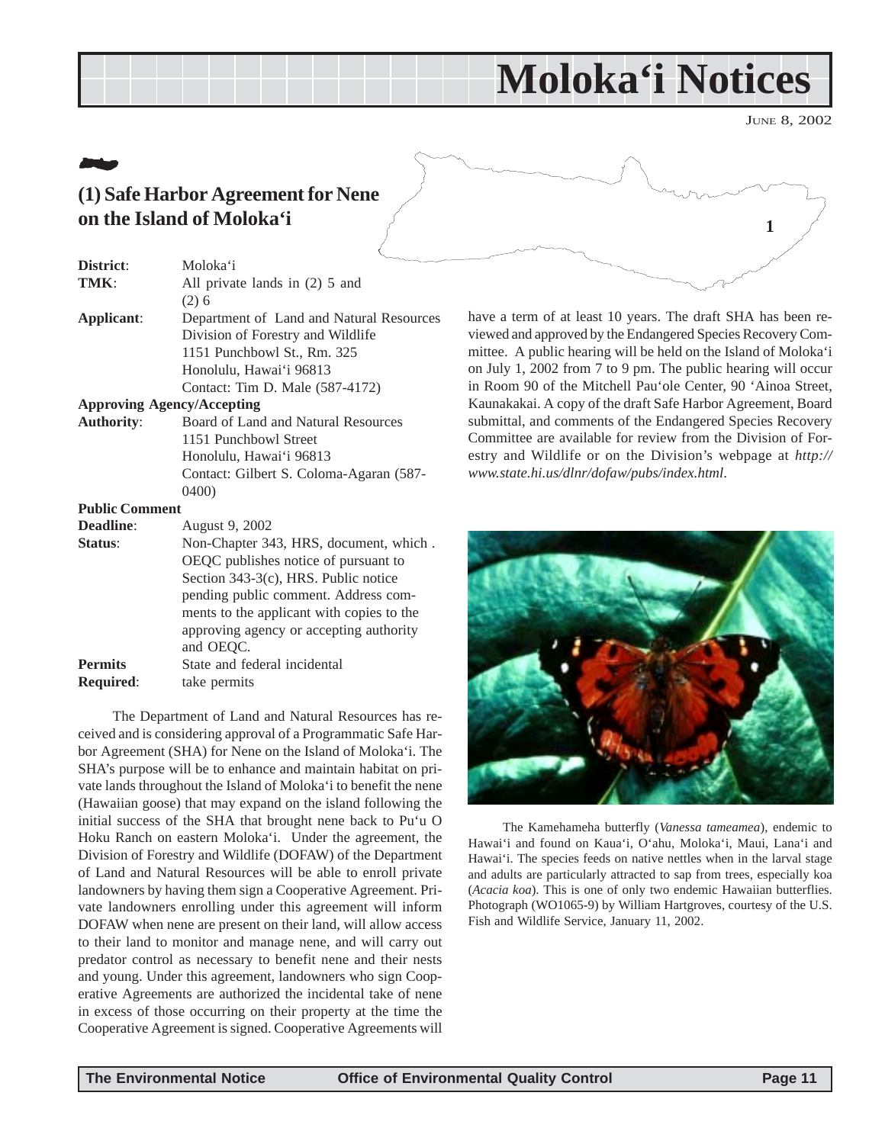## **Moloka'i Notices**

JUNE 8, 2002

**1**

## <span id="page-10-0"></span>21**2 (1) Safe Harbor Agreement for Nene on the Island of Moloka'i**

| District:                         | Moloka'i                                 |
|-----------------------------------|------------------------------------------|
| TMK:                              | All private lands in (2) 5 and           |
|                                   | $(2)$ 6                                  |
| Applicant:                        | Department of Land and Natural Resources |
|                                   | Division of Forestry and Wildlife        |
|                                   | 1151 Punchbowl St., Rm. 325              |
|                                   | Honolulu, Hawai'i 96813                  |
|                                   | Contact: Tim D. Male (587-4172)          |
| <b>Approving Agency/Accepting</b> |                                          |
| <b>Authority:</b>                 | Board of Land and Natural Resources      |
|                                   | 1151 Punchbowl Street                    |
|                                   | Honolulu, Hawai'i 96813                  |
|                                   | Contact: Gilbert S. Coloma-Agaran (587-  |
|                                   | 0400                                     |

#### **Public Comment**

| <b>Deadline:</b> | August 9, 2002                            |
|------------------|-------------------------------------------|
| Status:          | Non-Chapter 343, HRS, document, which.    |
|                  | OEQC publishes notice of pursuant to      |
|                  | Section 343-3(c), HRS. Public notice      |
|                  | pending public comment. Address com-      |
|                  | ments to the applicant with copies to the |
|                  | approving agency or accepting authority   |
|                  | and OEQC.                                 |
| <b>Permits</b>   | State and federal incidental              |
| <b>Required:</b> | take permits                              |
|                  |                                           |

The Department of Land and Natural Resources has received and is considering approval of a Programmatic Safe Harbor Agreement (SHA) for Nene on the Island of Moloka'i. The SHA's purpose will be to enhance and maintain habitat on private lands throughout the Island of Moloka'i to benefit the nene (Hawaiian goose) that may expand on the island following the initial success of the SHA that brought nene back to Pu'u O Hoku Ranch on eastern Moloka'i. Under the agreement, the Division of Forestry and Wildlife (DOFAW) of the Department of Land and Natural Resources will be able to enroll private landowners by having them sign a Cooperative Agreement. Private landowners enrolling under this agreement will inform DOFAW when nene are present on their land, will allow access to their land to monitor and manage nene, and will carry out predator control as necessary to benefit nene and their nests and young. Under this agreement, landowners who sign Cooperative Agreements are authorized the incidental take of nene in excess of those occurring on their property at the time the Cooperative Agreement is signed. Cooperative Agreements will

have a term of at least 10 years. The draft SHA has been reviewed and approved by the Endangered Species Recovery Committee. A public hearing will be held on the Island of Moloka'i on July 1, 2002 from 7 to 9 pm. The public hearing will occur in Room 90 of the Mitchell Pau'ole Center, 90 'Ainoa Street, Kaunakakai. A copy of the draft Safe Harbor Agreement, Board submittal, and comments of the Endangered Species Recovery Committee are available for review from the Division of Forestry and Wildlife or on the Division's webpage at *http:// www.state.hi.us/dlnr/dofaw/pubs/index.html*.



The Kamehameha butterfly (*Vanessa tameamea*), endemic to Hawai'i and found on Kaua'i, O'ahu, Moloka'i, Maui, Lana'i and Hawai'i. The species feeds on native nettles when in the larval stage and adults are particularly attracted to sap from trees, especially koa (*Acacia koa*). This is one of only two endemic Hawaiian butterflies. Photograph (WO1065-9) by William Hartgroves, courtesy of the U.S. Fish and Wildlife Service, January 11, 2002.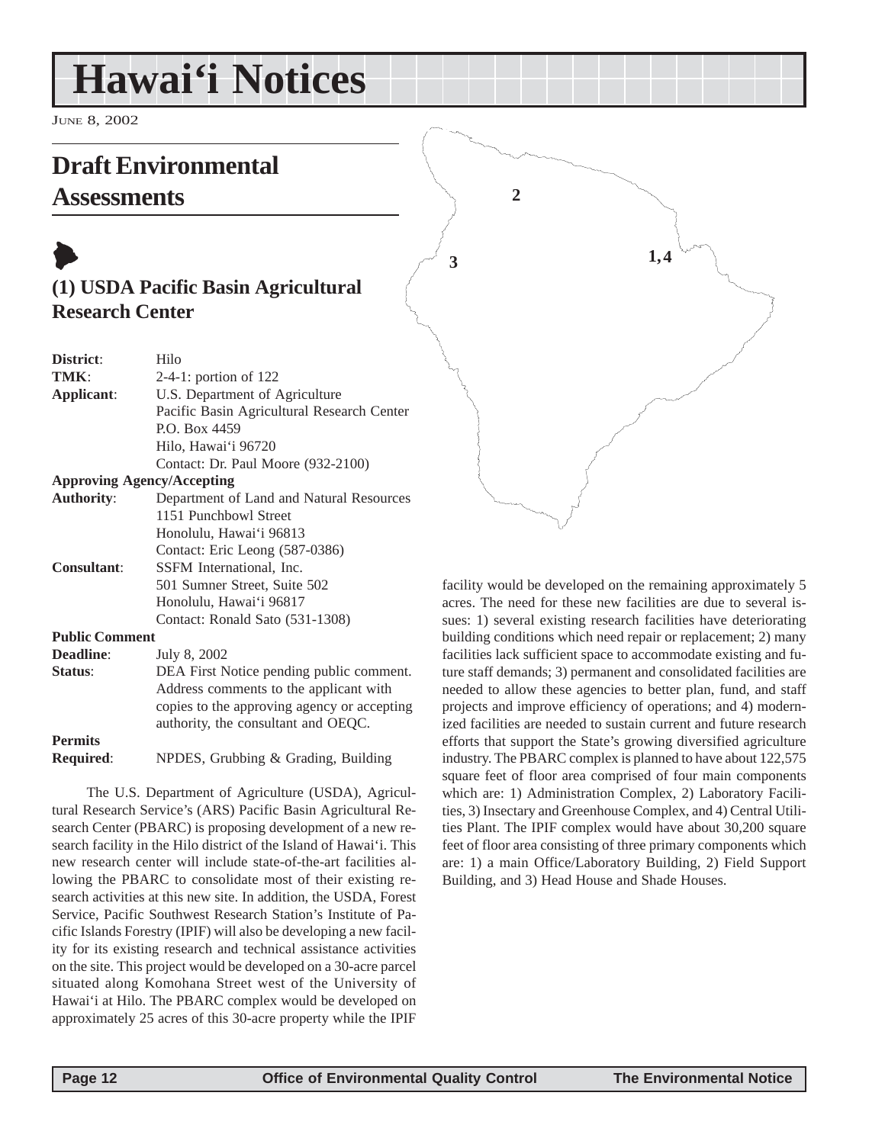# <span id="page-11-0"></span>**Hawai'i Notices**

JUNE 8, 2002

## **Draft Environmental**

### **Assessments**

## $\blacktriangleright$ **(1) USDA Pacific Basin Agricultural Research Center**

| District:             | Hilo                                        |  |  |
|-----------------------|---------------------------------------------|--|--|
| TMK:                  | $2-4-1$ : portion of 122                    |  |  |
| Applicant:            | U.S. Department of Agriculture              |  |  |
|                       | Pacific Basin Agricultural Research Center  |  |  |
|                       | P.O. Box 4459                               |  |  |
|                       | Hilo, Hawai'i 96720                         |  |  |
|                       | Contact: Dr. Paul Moore (932-2100)          |  |  |
|                       | <b>Approving Agency/Accepting</b>           |  |  |
| <b>Authority:</b>     | Department of Land and Natural Resources    |  |  |
|                       | 1151 Punchbowl Street                       |  |  |
|                       | Honolulu, Hawai'i 96813                     |  |  |
|                       | Contact: Eric Leong (587-0386)              |  |  |
| <b>Consultant:</b>    | SSFM International, Inc.                    |  |  |
|                       | 501 Sumner Street, Suite 502                |  |  |
|                       | Honolulu, Hawai'i 96817                     |  |  |
|                       | Contact: Ronald Sato (531-1308)             |  |  |
| <b>Public Comment</b> |                                             |  |  |
| <b>Deadline:</b>      | July 8, 2002                                |  |  |
| Status:               | DEA First Notice pending public comment.    |  |  |
|                       | Address comments to the applicant with      |  |  |
|                       | copies to the approving agency or accepting |  |  |

**Permits Required**: NPDES, Grubbing & Grading, Building

authority, the consultant and OEQC.

The U.S. Department of Agriculture (USDA), Agricultural Research Service's (ARS) Pacific Basin Agricultural Research Center (PBARC) is proposing development of a new research facility in the Hilo district of the Island of Hawai'i. This new research center will include state-of-the-art facilities allowing the PBARC to consolidate most of their existing research activities at this new site. In addition, the USDA, Forest Service, Pacific Southwest Research Station's Institute of Pacific Islands Forestry (IPIF) will also be developing a new facility for its existing research and technical assistance activities on the site. This project would be developed on a 30-acre parcel situated along Komohana Street west of the University of Hawai'i at Hilo. The PBARC complex would be developed on approximately 25 acres of this 30-acre property while the IPIF



facility would be developed on the remaining approximately 5 acres. The need for these new facilities are due to several issues: 1) several existing research facilities have deteriorating building conditions which need repair or replacement; 2) many facilities lack sufficient space to accommodate existing and future staff demands; 3) permanent and consolidated facilities are needed to allow these agencies to better plan, fund, and staff projects and improve efficiency of operations; and 4) modernized facilities are needed to sustain current and future research efforts that support the State's growing diversified agriculture industry. The PBARC complex is planned to have about 122,575 square feet of floor area comprised of four main components which are: 1) Administration Complex, 2) Laboratory Facilities, 3) Insectary and Greenhouse Complex, and 4) Central Utilities Plant. The IPIF complex would have about 30,200 square feet of floor area consisting of three primary components which are: 1) a main Office/Laboratory Building, 2) Field Support Building, and 3) Head House and Shade Houses.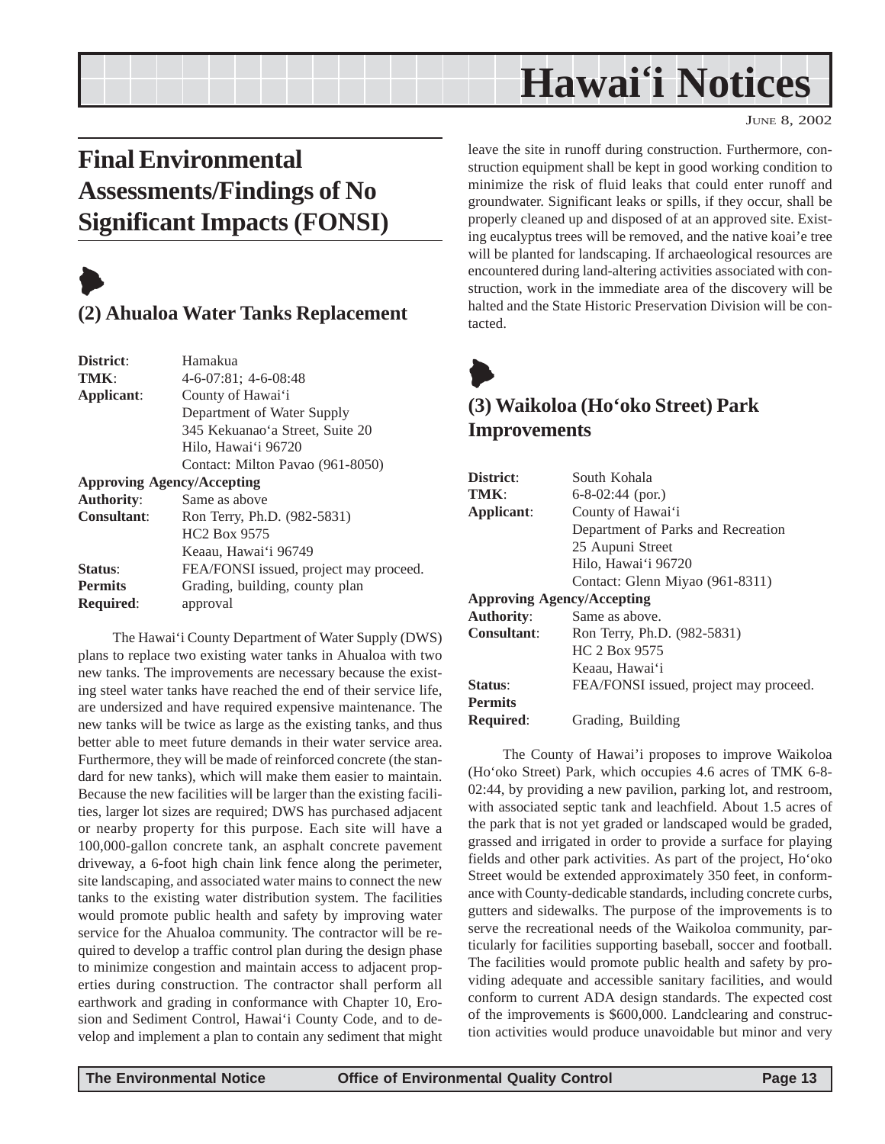## **Hawai'i Notices**

## <span id="page-12-0"></span>**Final Environmental Assessments/Findings of No Significant Impacts (FONSI)**

## $\blacktriangleright$

### **(2) Ahualoa Water Tanks Replacement**

| District:                         | Hamakua                                |
|-----------------------------------|----------------------------------------|
| TMK:                              | $4-6-07:81$ ; $4-6-08:48$              |
| Applicant:                        | County of Hawai'i                      |
|                                   | Department of Water Supply             |
|                                   | 345 Kekuanao'a Street, Suite 20        |
|                                   | Hilo, Hawai'i 96720                    |
|                                   | Contact: Milton Pavao (961-8050)       |
| <b>Approving Agency/Accepting</b> |                                        |
| <b>Authority:</b>                 | Same as above                          |
| <b>Consultant:</b>                | Ron Terry, Ph.D. (982-5831)            |
|                                   | <b>HC<sub>2</sub></b> Box 9575         |
|                                   | Keaau, Hawai'i 96749                   |
| Status:                           | FEA/FONSI issued, project may proceed. |
| <b>Permits</b>                    | Grading, building, county plan         |
| <b>Required:</b>                  | approval                               |

The Hawai'i County Department of Water Supply (DWS) plans to replace two existing water tanks in Ahualoa with two new tanks. The improvements are necessary because the existing steel water tanks have reached the end of their service life, are undersized and have required expensive maintenance. The new tanks will be twice as large as the existing tanks, and thus better able to meet future demands in their water service area. Furthermore, they will be made of reinforced concrete (the standard for new tanks), which will make them easier to maintain. Because the new facilities will be larger than the existing facilities, larger lot sizes are required; DWS has purchased adjacent or nearby property for this purpose. Each site will have a 100,000-gallon concrete tank, an asphalt concrete pavement driveway, a 6-foot high chain link fence along the perimeter, site landscaping, and associated water mains to connect the new tanks to the existing water distribution system. The facilities would promote public health and safety by improving water service for the Ahualoa community. The contractor will be required to develop a traffic control plan during the design phase to minimize congestion and maintain access to adjacent properties during construction. The contractor shall perform all earthwork and grading in conformance with Chapter 10, Erosion and Sediment Control, Hawai'i County Code, and to develop and implement a plan to contain any sediment that might leave the site in runoff during construction. Furthermore, construction equipment shall be kept in good working condition to minimize the risk of fluid leaks that could enter runoff and groundwater. Significant leaks or spills, if they occur, shall be properly cleaned up and disposed of at an approved site. Existing eucalyptus trees will be removed, and the native koai'e tree will be planted for landscaping. If archaeological resources are encountered during land-altering activities associated with construction, work in the immediate area of the discovery will be halted and the State Historic Preservation Division will be contacted.



### **(3) Waikoloa (Ho'oko Street) Park Improvements**

| District:                         | South Kohala                           |
|-----------------------------------|----------------------------------------|
| TMK:                              | $6 - 8 - 02$ : 44 (por.)               |
| Applicant:                        | County of Hawai'i                      |
|                                   | Department of Parks and Recreation     |
|                                   | 25 Aupuni Street                       |
|                                   | Hilo, Hawai'i 96720                    |
|                                   | Contact: Glenn Miyao (961-8311)        |
| <b>Approving Agency/Accepting</b> |                                        |
| <b>Authority:</b>                 | Same as above.                         |
| <b>Consultant:</b>                | Ron Terry, Ph.D. (982-5831)            |
|                                   | HC 2 Box 9575                          |
|                                   | Keaau, Hawai'i                         |
| <b>Status:</b>                    | FEA/FONSI issued, project may proceed. |
| <b>Permits</b>                    |                                        |
| <b>Required:</b>                  | Grading, Building                      |

The County of Hawai'i proposes to improve Waikoloa (Ho'oko Street) Park, which occupies 4.6 acres of TMK 6-8- 02:44, by providing a new pavilion, parking lot, and restroom, with associated septic tank and leachfield. About 1.5 acres of the park that is not yet graded or landscaped would be graded, grassed and irrigated in order to provide a surface for playing fields and other park activities. As part of the project, Ho'oko Street would be extended approximately 350 feet, in conformance with County-dedicable standards, including concrete curbs, gutters and sidewalks. The purpose of the improvements is to serve the recreational needs of the Waikoloa community, particularly for facilities supporting baseball, soccer and football. The facilities would promote public health and safety by providing adequate and accessible sanitary facilities, and would conform to current ADA design standards. The expected cost of the improvements is \$600,000. Landclearing and construction activities would produce unavoidable but minor and very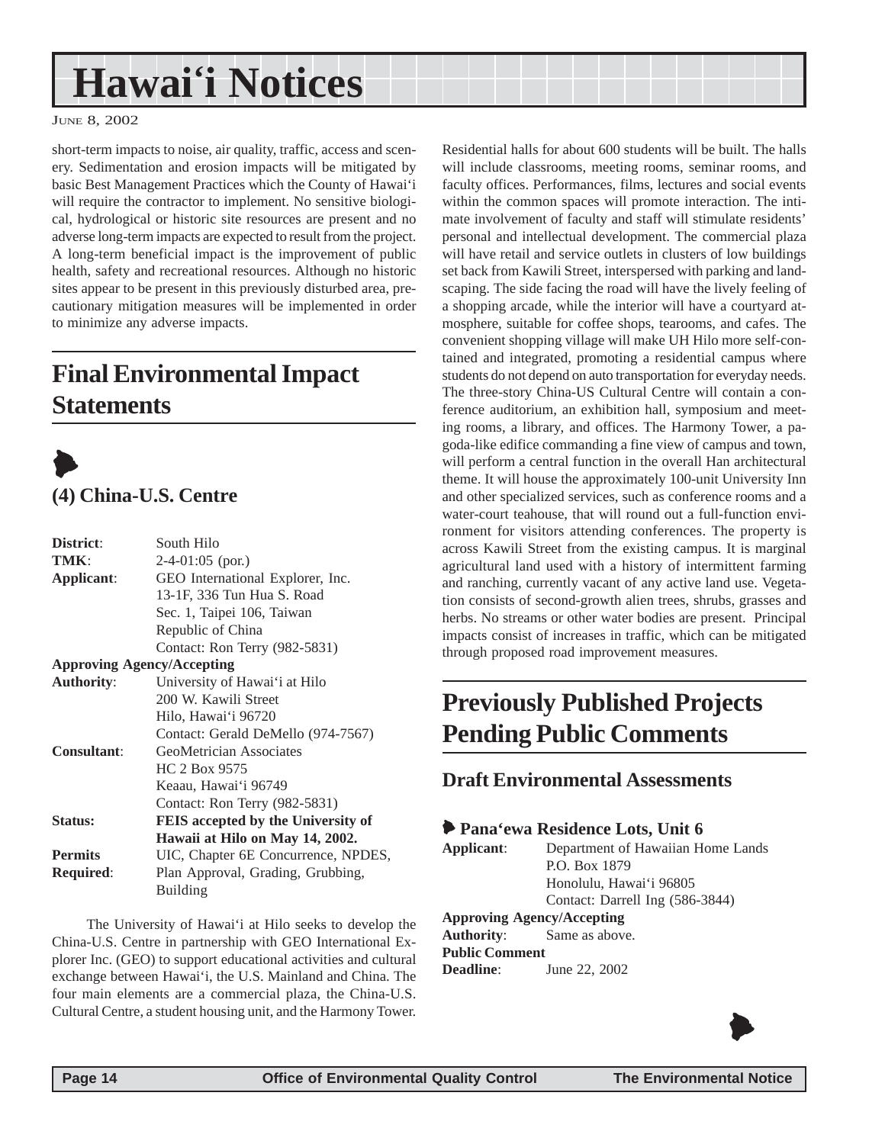# <span id="page-13-0"></span>**Hawai'i Notices**

JUNE 8, 2002

short-term impacts to noise, air quality, traffic, access and scenery. Sedimentation and erosion impacts will be mitigated by basic Best Management Practices which the County of Hawai'i will require the contractor to implement. No sensitive biological, hydrological or historic site resources are present and no adverse long-term impacts are expected to result from the project. A long-term beneficial impact is the improvement of public health, safety and recreational resources. Although no historic sites appear to be present in this previously disturbed area, precautionary mitigation measures will be implemented in order to minimize any adverse impacts.

## **Final Environmental Impact Statements**



| District:          | South Hilo                          |  |
|--------------------|-------------------------------------|--|
| TMK:               | $2-4-01:05$ (por.)                  |  |
| Applicant:         | GEO International Explorer, Inc.    |  |
|                    | 13-1F, 336 Tun Hua S. Road          |  |
|                    | Sec. 1, Taipei 106, Taiwan          |  |
|                    | Republic of China                   |  |
|                    | Contact: Ron Terry (982-5831)       |  |
|                    | <b>Approving Agency/Accepting</b>   |  |
| <b>Authority:</b>  | University of Hawai'i at Hilo       |  |
|                    | 200 W. Kawili Street                |  |
|                    | Hilo, Hawai'i 96720                 |  |
|                    | Contact: Gerald DeMello (974-7567)  |  |
| <b>Consultant:</b> | GeoMetrician Associates             |  |
|                    | HC 2 Box 9575                       |  |
|                    | Keaau, Hawai'i 96749                |  |
|                    | Contact: Ron Terry (982-5831)       |  |
| Status:            | FEIS accepted by the University of  |  |
|                    | Hawaii at Hilo on May 14, 2002.     |  |
| <b>Permits</b>     | UIC, Chapter 6E Concurrence, NPDES, |  |
| <b>Required:</b>   | Plan Approval, Grading, Grubbing,   |  |
|                    | <b>Building</b>                     |  |
|                    |                                     |  |

The University of Hawai'i at Hilo seeks to develop the China-U.S. Centre in partnership with GEO International Explorer Inc. (GEO) to support educational activities and cultural exchange between Hawai'i, the U.S. Mainland and China. The four main elements are a commercial plaza, the China-U.S. Cultural Centre, a student housing unit, and the Harmony Tower.

Residential halls for about 600 students will be built. The halls will include classrooms, meeting rooms, seminar rooms, and faculty offices. Performances, films, lectures and social events within the common spaces will promote interaction. The intimate involvement of faculty and staff will stimulate residents' personal and intellectual development. The commercial plaza will have retail and service outlets in clusters of low buildings set back from Kawili Street, interspersed with parking and landscaping. The side facing the road will have the lively feeling of a shopping arcade, while the interior will have a courtyard atmosphere, suitable for coffee shops, tearooms, and cafes. The convenient shopping village will make UH Hilo more self-contained and integrated, promoting a residential campus where students do not depend on auto transportation for everyday needs. The three-story China-US Cultural Centre will contain a conference auditorium, an exhibition hall, symposium and meeting rooms, a library, and offices. The Harmony Tower, a pagoda-like edifice commanding a fine view of campus and town, will perform a central function in the overall Han architectural theme. It will house the approximately 100-unit University Inn and other specialized services, such as conference rooms and a water-court teahouse, that will round out a full-function environment for visitors attending conferences. The property is across Kawili Street from the existing campus. It is marginal agricultural land used with a history of intermittent farming and ranching, currently vacant of any active land use. Vegetation consists of second-growth alien trees, shrubs, grasses and herbs. No streams or other water bodies are present. Principal impacts consist of increases in traffic, which can be mitigated through proposed road improvement measures.

## **Previously Published Projects Pending Public Comments**

**Draft Environmental Assessments**

### 6 **Pana'ewa Residence Lots, Unit 6**

**Applicant**: Department of Hawaiian Home Lands P.O. Box 1879 Honolulu, Hawai'i 96805 Contact: Darrell Ing (586-3844)

### **Approving Agency/Accepting**

**Authority**: Same as above. **Public Comment Deadline**: June 22, 2002

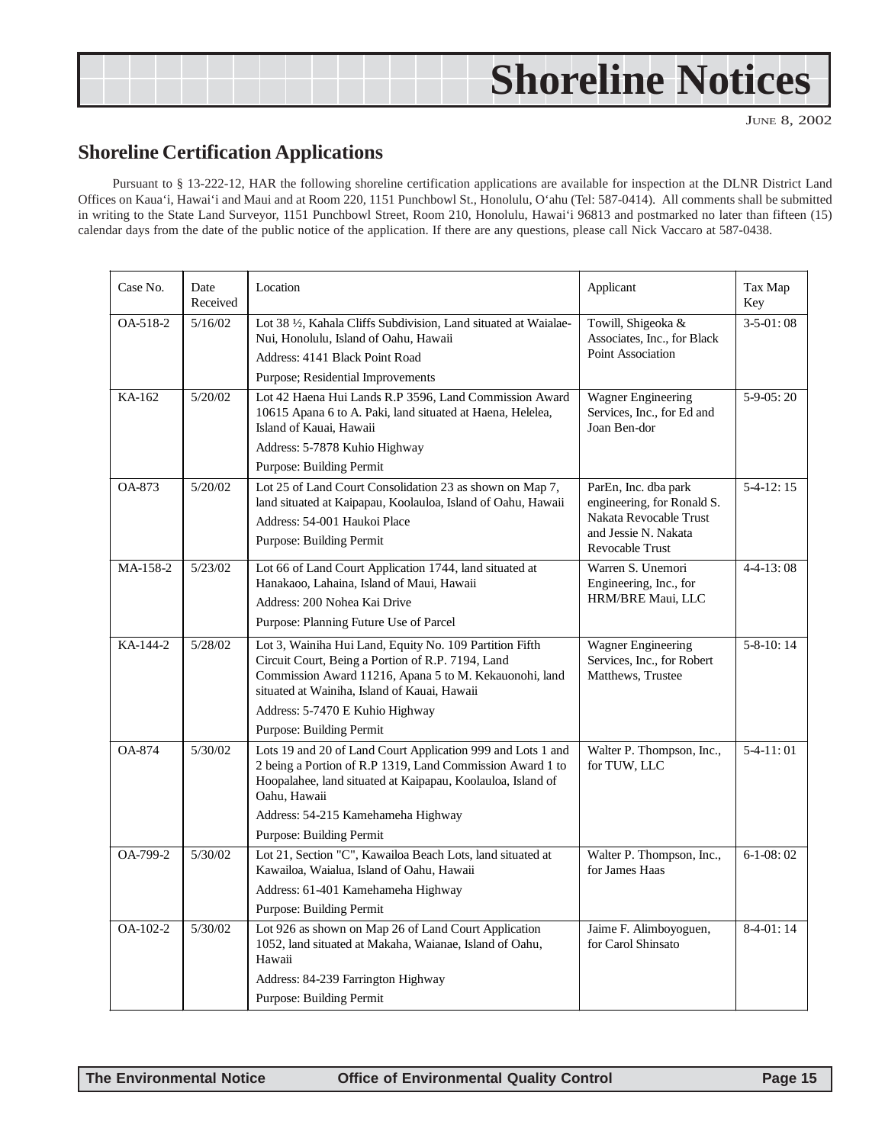# <span id="page-14-0"></span>**Shoreline Notices**

JUNE 8, 2002

### **Shoreline Certification Applications**

Pursuant to § 13-222-12, HAR the following shoreline certification applications are available for inspection at the DLNR District Land Offices on Kaua'i, Hawai'i and Maui and at Room 220, 1151 Punchbowl St., Honolulu, O'ahu (Tel: 587-0414). All comments shall be submitted in writing to the State Land Surveyor, 1151 Punchbowl Street, Room 210, Honolulu, Hawai'i 96813 and postmarked no later than fifteen (15) calendar days from the date of the public notice of the application. If there are any questions, please call Nick Vaccaro at 587-0438.

| Case No.      | Date<br>Received | Location                                                                                                                                                                                                                                                                              | Applicant                                                                                                               | Tax Map<br>Key    |
|---------------|------------------|---------------------------------------------------------------------------------------------------------------------------------------------------------------------------------------------------------------------------------------------------------------------------------------|-------------------------------------------------------------------------------------------------------------------------|-------------------|
| OA-518-2      | 5/16/02          | Lot 38 1/2, Kahala Cliffs Subdivision, Land situated at Waialae-<br>Nui, Honolulu, Island of Oahu, Hawaii<br>Address: 4141 Black Point Road<br>Purpose; Residential Improvements                                                                                                      | Towill, Shigeoka &<br>Associates, Inc., for Black<br>Point Association                                                  | $3-5-01:08$       |
| KA-162        | 5/20/02          | Lot 42 Haena Hui Lands R.P 3596, Land Commission Award<br>10615 Apana 6 to A. Paki, land situated at Haena, Helelea,<br>Island of Kauai, Hawaii<br>Address: 5-7878 Kuhio Highway<br>Purpose: Building Permit                                                                          | <b>Wagner Engineering</b><br>Services, Inc., for Ed and<br>Joan Ben-dor                                                 | $5-9-0.5:20$      |
| OA-873        | 5/20/02          | Lot 25 of Land Court Consolidation 23 as shown on Map 7,<br>land situated at Kaipapau, Koolauloa, Island of Oahu, Hawaii<br>Address: 54-001 Haukoi Place<br>Purpose: Building Permit                                                                                                  | ParEn, Inc. dba park<br>engineering, for Ronald S.<br>Nakata Revocable Trust<br>and Jessie N. Nakata<br>Revocable Trust | $5-4-12:15$       |
| MA-158-2      | 5/23/02          | Lot 66 of Land Court Application 1744, land situated at<br>Hanakaoo, Lahaina, Island of Maui, Hawaii<br>Address: 200 Nohea Kai Drive<br>Purpose: Planning Future Use of Parcel                                                                                                        | Warren S. Unemori<br>Engineering, Inc., for<br>HRM/BRE Maui, LLC                                                        | $4 - 4 - 13:08$   |
| KA-144-2      | 5/28/02          | Lot 3, Wainiha Hui Land, Equity No. 109 Partition Fifth<br>Circuit Court, Being a Portion of R.P. 7194, Land<br>Commission Award 11216, Apana 5 to M. Kekauonohi, land<br>situated at Wainiha, Island of Kauai, Hawaii<br>Address: 5-7470 E Kuhio Highway<br>Purpose: Building Permit | <b>Wagner Engineering</b><br>Services, Inc., for Robert<br>Matthews, Trustee                                            | $5 - 8 - 10$ : 14 |
| <b>OA-874</b> | 5/30/02          | Lots 19 and 20 of Land Court Application 999 and Lots 1 and<br>2 being a Portion of R.P 1319, Land Commission Award 1 to<br>Hoopalahee, land situated at Kaipapau, Koolauloa, Island of<br>Oahu, Hawaii<br>Address: 54-215 Kamehameha Highway<br>Purpose: Building Permit             | Walter P. Thompson, Inc.,<br>for TUW, LLC                                                                               | $5-4-11:01$       |
| OA-799-2      | 5/30/02          | Lot 21, Section "C", Kawailoa Beach Lots, land situated at<br>Kawailoa, Waialua, Island of Oahu, Hawaii<br>Address: 61-401 Kamehameha Highway<br>Purpose: Building Permit                                                                                                             | Walter P. Thompson, Inc.,<br>for James Haas                                                                             | $6-1-08:02$       |
| $OA-102-2$    | 5/30/02          | Lot 926 as shown on Map 26 of Land Court Application<br>1052, land situated at Makaha, Waianae, Island of Oahu,<br>Hawaii<br>Address: 84-239 Farrington Highway<br>Purpose: Building Permit                                                                                           | Jaime F. Alimboyoguen,<br>for Carol Shinsato                                                                            | $8-4-01:14$       |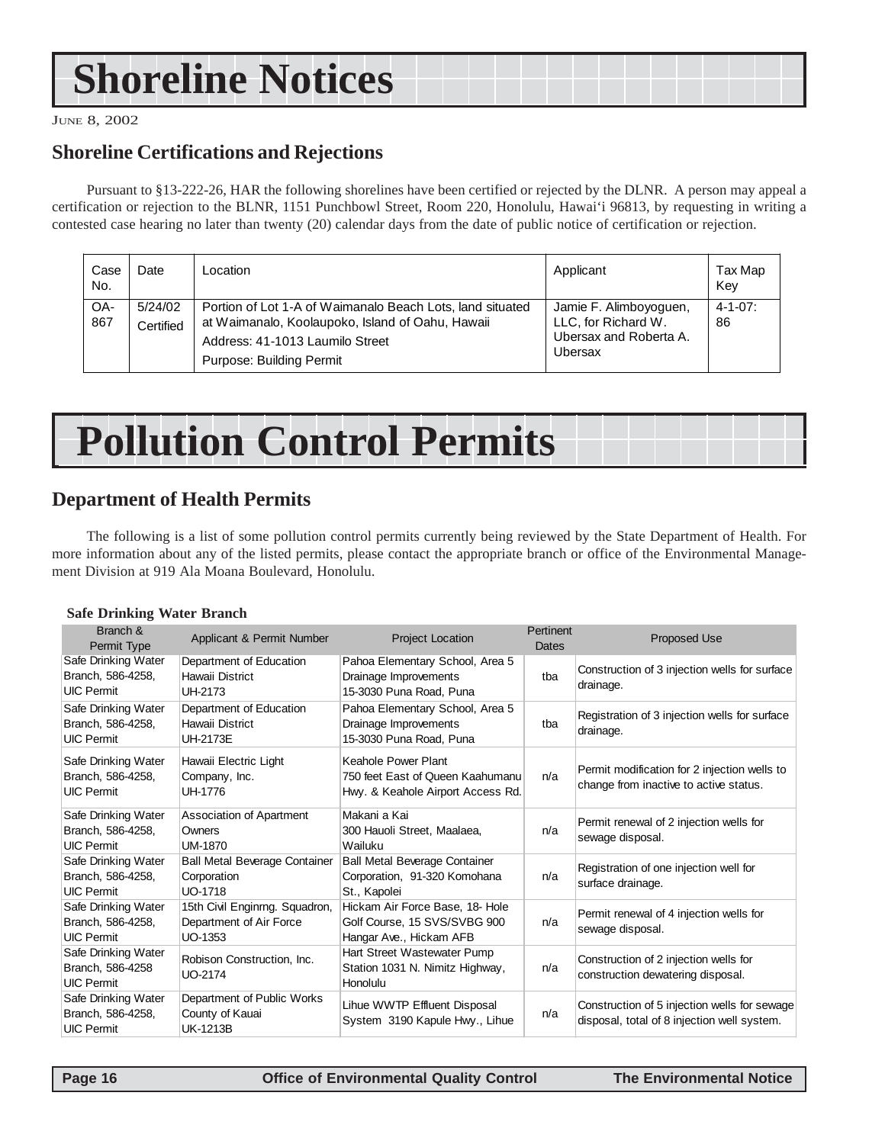# <span id="page-15-0"></span>**Shoreline Notices**

JUNE 8, 2002

### **Shoreline Certifications and Rejections**

Pursuant to §13-222-26, HAR the following shorelines have been certified or rejected by the DLNR. A person may appeal a certification or rejection to the BLNR, 1151 Punchbowl Street, Room 220, Honolulu, Hawai'i 96813, by requesting in writing a contested case hearing no later than twenty (20) calendar days from the date of public notice of certification or rejection.

| Case<br>No. | Date                 | Location                                                                                                                                                                     | Applicant                                                                          | Tax Map<br>Key       |
|-------------|----------------------|------------------------------------------------------------------------------------------------------------------------------------------------------------------------------|------------------------------------------------------------------------------------|----------------------|
| OA-<br>867  | 5/24/02<br>Certified | Portion of Lot 1-A of Waimanalo Beach Lots, land situated<br>at Waimanalo, Koolaupoko, Island of Oahu, Hawaii<br>Address: 41-1013 Laumilo Street<br>Purpose: Building Permit | Jamie F. Alimboyoguen,<br>LLC, for Richard W.<br>Ubersax and Roberta A.<br>Ubersax | $4 - 1 - 07$ :<br>86 |

# **Pollution Control Permits**

### **Department of Health Permits**

The following is a list of some pollution control permits currently being reviewed by the State Department of Health. For more information about any of the listed permits, please contact the appropriate branch or office of the Environmental Management Division at 919 Ala Moana Boulevard, Honolulu.

#### **Safe Drinking Water Branch**

| Branch &<br>Permit Type                                       | Applicant & Permit Number                                             | <b>Project Location</b>                                                                      | Pertinent<br>Dates | Proposed Use                                                                                |
|---------------------------------------------------------------|-----------------------------------------------------------------------|----------------------------------------------------------------------------------------------|--------------------|---------------------------------------------------------------------------------------------|
| Safe Drinking Water<br>Branch, 586-4258,<br><b>UIC Permit</b> | Department of Education<br>Hawaii District<br>UH-2173                 | Pahoa Elementary School, Area 5<br>Drainage Improvements<br>15-3030 Puna Road, Puna          | tba                | Construction of 3 injection wells for surface<br>drainage.                                  |
| Safe Drinking Water<br>Branch, 586-4258,<br><b>UIC Permit</b> | Department of Education<br>Hawaii District<br>UH-2173E                | Pahoa Elementary School, Area 5<br>Drainage Improvements<br>15-3030 Puna Road, Puna          | tba                | Registration of 3 injection wells for surface<br>drainage.                                  |
| Safe Drinking Water<br>Branch, 586-4258,<br><b>UIC Permit</b> | Hawaii Electric Light<br>Company, Inc.<br>UH-1776                     | Keahole Power Plant<br>750 feet East of Queen Kaahumanu<br>Hwy. & Keahole Airport Access Rd. | n/a                | Permit modification for 2 injection wells to<br>change from inactive to active status.      |
| Safe Drinking Water<br>Branch, 586-4258,<br><b>UIC Permit</b> | <b>Association of Apartment</b><br>Owners<br>UM-1870                  | Makani a Kai<br>300 Hauoli Street, Maalaea,<br>Wailuku                                       | n/a                | Permit renewal of 2 injection wells for<br>sewage disposal.                                 |
| Safe Drinking Water<br>Branch, 586-4258,<br><b>UIC Permit</b> | <b>Ball Metal Beverage Container</b><br>Corporation<br><b>UO-1718</b> | <b>Ball Metal Beverage Container</b><br>Corporation, 91-320 Komohana<br>St., Kapolei         | n/a                | Registration of one injection well for<br>surface drainage.                                 |
| Safe Drinking Water<br>Branch, 586-4258,<br><b>UIC Permit</b> | 15th Civil Enginrng. Squadron,<br>Department of Air Force<br>UO-1353  | Hickam Air Force Base, 18- Hole<br>Golf Course, 15 SVS/SVBG 900<br>Hangar Ave., Hickam AFB   | n/a                | Permit renewal of 4 injection wells for<br>sewage disposal.                                 |
| Safe Drinking Water<br>Branch, 586-4258<br><b>UIC Permit</b>  | Robison Construction, Inc.<br><b>UO-2174</b>                          | Hart Street Wastewater Pump<br>Station 1031 N. Nimitz Highway,<br>Honolulu                   | n/a                | Construction of 2 injection wells for<br>construction dewatering disposal.                  |
| Safe Drinking Water<br>Branch, 586-4258,<br><b>UIC Permit</b> | Department of Public Works<br>County of Kauai<br><b>UK-1213B</b>      | Lihue WWTP Effluent Disposal<br>System 3190 Kapule Hwy., Lihue                               | n/a                | Construction of 5 injection wells for sewage<br>disposal, total of 8 injection well system. |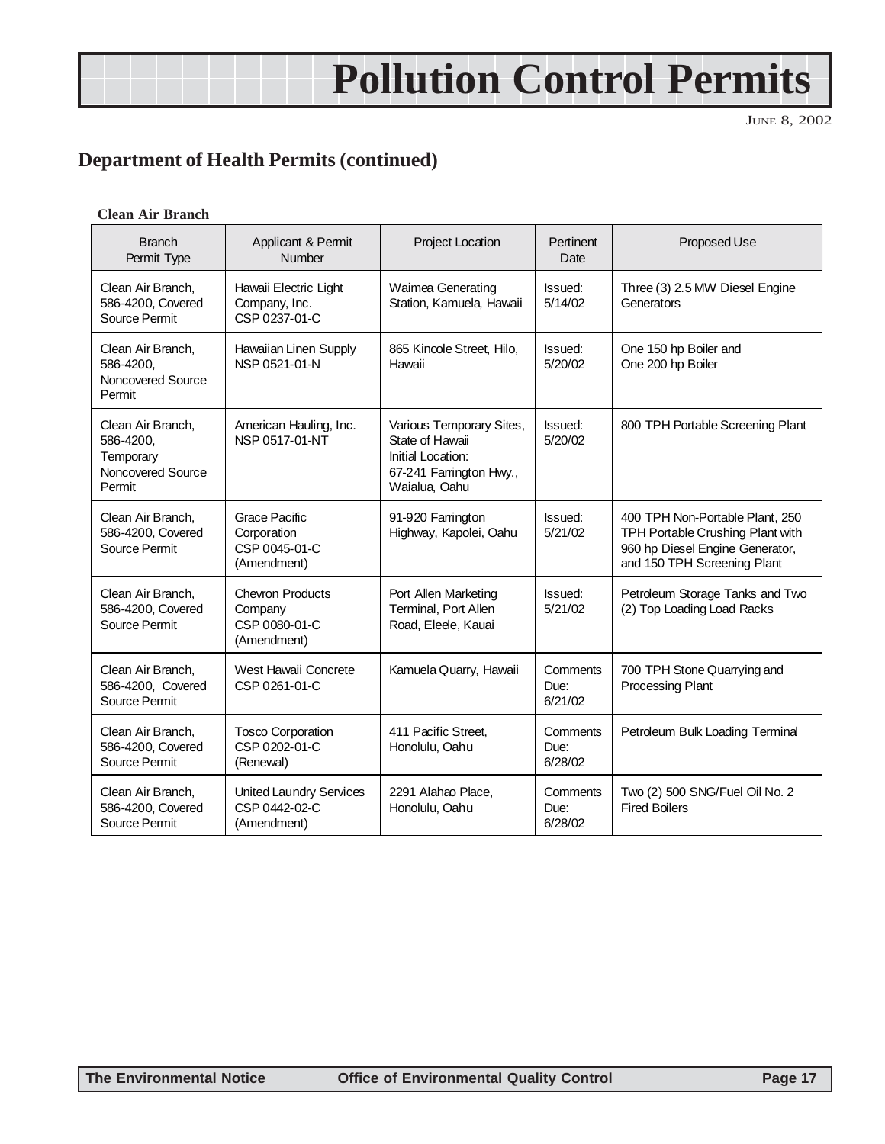# **Pollution Control Permits**

JUNE 8, 2002

### **Department of Health Permits (continued)**

#### **Clean Air Branch**

| <b>Branch</b><br>Permit Type                                               | Applicant & Permit<br><b>Number</b>                                | <b>Project Location</b>                                                                                      | Pertinent<br>Date           | Proposed Use                                                                                                                          |
|----------------------------------------------------------------------------|--------------------------------------------------------------------|--------------------------------------------------------------------------------------------------------------|-----------------------------|---------------------------------------------------------------------------------------------------------------------------------------|
| Clean Air Branch,<br>586-4200. Covered<br>Source Permit                    | Hawaii Electric Light<br>Company, Inc.<br>CSP 0237-01-C            | Waimea Generating<br>Station, Kamuela, Hawaii                                                                | Issued:<br>5/14/02          | Three (3) 2.5 MW Diesel Engine<br>Generators                                                                                          |
| Clean Air Branch,<br>586-4200,<br>Noncovered Source<br>Permit              | Hawaiian Linen Supply<br>NSP 0521-01-N                             | 865 Kincole Street, Hilo,<br>Hawaii                                                                          | <b>Issued:</b><br>5/20/02   | One 150 hp Boiler and<br>One 200 hp Boiler                                                                                            |
| Clean Air Branch,<br>586-4200,<br>Temporary<br>Noncovered Source<br>Permit | American Hauling, Inc.<br>NSP 0517-01-NT                           | Various Temporary Sites,<br>State of Hawaii<br>Initial Location:<br>67-241 Farrington Hwy.,<br>Waialua, Oahu | Issued:<br>5/20/02          | 800 TPH Portable Screening Plant                                                                                                      |
| Clean Air Branch.<br>586-4200, Covered<br>Source Permit                    | Grace Pacific<br>Corporation<br>CSP 0045-01-C<br>(Amendment)       | 91-920 Farrington<br>Highway, Kapolei, Oahu                                                                  | Issued:<br>5/21/02          | 400 TPH Non-Portable Plant, 250<br>TPH Portable Crushing Plant with<br>960 hp Diesel Engine Generator,<br>and 150 TPH Screening Plant |
| Clean Air Branch.<br>586-4200, Covered<br>Source Permit                    | <b>Chevron Products</b><br>Company<br>CSP 0080-01-C<br>(Amendment) | Port Allen Marketing<br>Terminal, Port Allen<br>Road, Elede, Kauai                                           | Issued:<br>5/21/02          | Petroleum Storage Tanks and Two<br>(2) Top Loading Load Racks                                                                         |
| Clean Air Branch,<br>586-4200. Covered<br>Source Permit                    | West Hawaii Concrete<br>CSP 0261-01-C                              | Kamuela Quarry, Hawaii                                                                                       | Comments<br>Due:<br>6/21/02 | 700 TPH Stone Quarrying and<br><b>Processing Plant</b>                                                                                |
| Clean Air Branch,<br>586-4200, Covered<br>Source Permit                    | Tosco Corporation<br>CSP 0202-01-C<br>(Renewal)                    | 411 Pacific Street.<br>Honolulu, Oahu                                                                        | Comments<br>Due:<br>6/28/02 | Petroleum Bulk Loading Terminal                                                                                                       |
| Clean Air Branch,<br>586-4200, Covered<br>Source Permit                    | <b>United Laundry Services</b><br>CSP 0442-02-C<br>(Amendment)     | 2291 Alahao Place,<br>Honolulu, Oahu                                                                         | Comments<br>Due:<br>6/28/02 | Two (2) 500 SNG/Fuel Oil No. 2<br><b>Fired Boilers</b>                                                                                |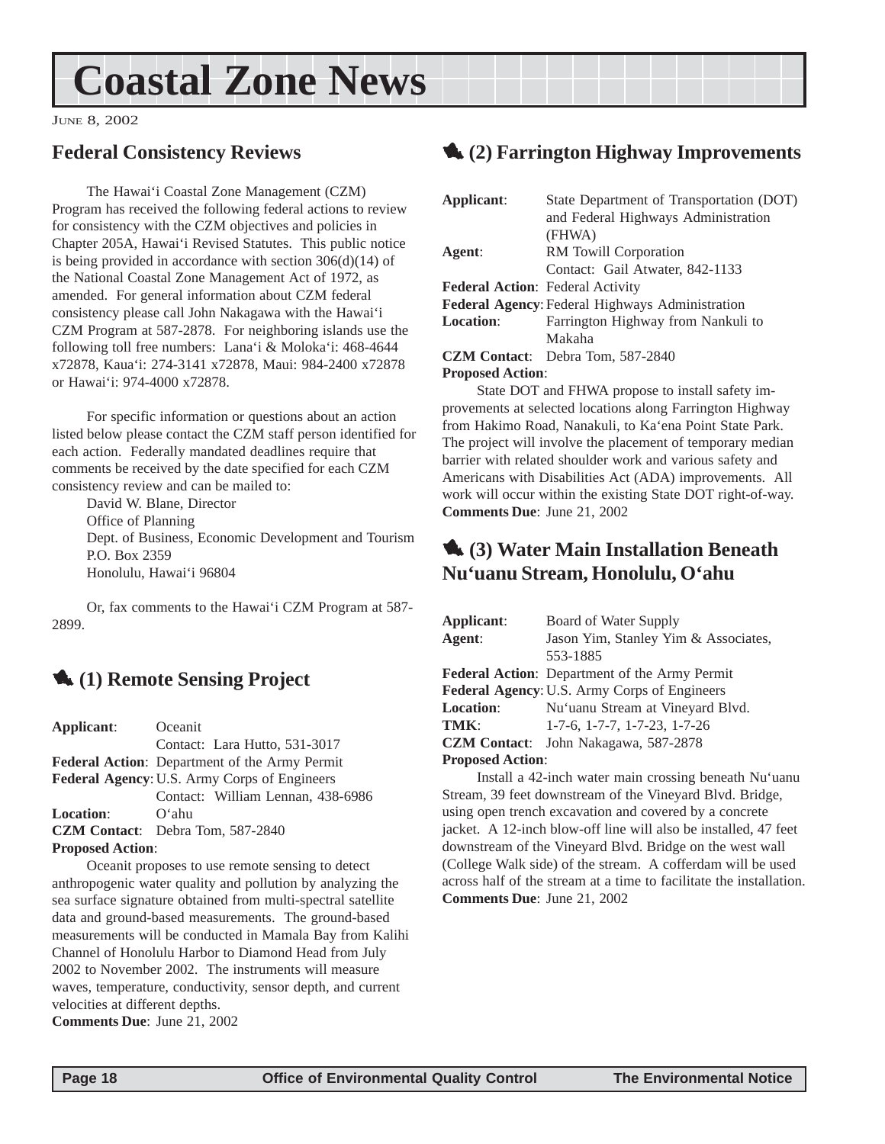# <span id="page-17-0"></span>**Coastal Zone News**

JUNE 8, 2002

### **Federal Consistency Reviews**

The Hawai'i Coastal Zone Management (CZM) Program has received the following federal actions to review for consistency with the CZM objectives and policies in Chapter 205A, Hawai'i Revised Statutes. This public notice is being provided in accordance with section 306(d)(14) of the National Coastal Zone Management Act of 1972, as amended. For general information about CZM federal consistency please call John Nakagawa with the Hawai'i CZM Program at 587-2878. For neighboring islands use the following toll free numbers: Lana'i & Moloka'i: 468-4644 x72878, Kaua'i: 274-3141 x72878, Maui: 984-2400 x72878 or Hawai'i: 974-4000 x72878.

For specific information or questions about an action listed below please contact the CZM staff person identified for each action. Federally mandated deadlines require that comments be received by the date specified for each CZM consistency review and can be mailed to:

David W. Blane, Director Office of Planning Dept. of Business, Economic Development and Tourism P.O. Box 2359 Honolulu, Hawai'i 96804

Or, fax comments to the Hawai'i CZM Program at 587- 2899.

## 1 **(1) Remote Sensing Project**

**Applicant**: Oceanit Contact: Lara Hutto, 531-3017 **Federal Action**: Department of the Army Permit **Federal Agency**: U.S. Army Corps of Engineers Contact: William Lennan, 438-6986 **Location**: O'ahu **CZM Contact**: Debra Tom, 587-2840 **Proposed Action**:

Oceanit proposes to use remote sensing to detect anthropogenic water quality and pollution by analyzing the sea surface signature obtained from multi-spectral satellite data and ground-based measurements. The ground-based measurements will be conducted in Mamala Bay from Kalihi Channel of Honolulu Harbor to Diamond Head from July 2002 to November 2002. The instruments will measure waves, temperature, conductivity, sensor depth, and current velocities at different depths.

**Comments Due**: June 21, 2002

### 1 **(2) Farrington Highway Improvements**

| Applicant:                              | State Department of Transportation (DOT)        |
|-----------------------------------------|-------------------------------------------------|
|                                         | and Federal Highways Administration             |
|                                         | (FHWA)                                          |
| Agent:                                  | RM Towill Corporation                           |
|                                         | Contact: Gail Atwater, 842-1133                 |
| <b>Federal Action:</b> Federal Activity |                                                 |
|                                         | Federal Agency: Federal Highways Administration |
| Location:                               | Farrington Highway from Nankuli to              |
|                                         | Makaha                                          |
|                                         | <b>CZM Contact:</b> Debra Tom, 587-2840         |

### **Proposed Action**:

State DOT and FHWA propose to install safety improvements at selected locations along Farrington Highway from Hakimo Road, Nanakuli, to Ka'ena Point State Park. The project will involve the placement of temporary median barrier with related shoulder work and various safety and Americans with Disabilities Act (ADA) improvements. All work will occur within the existing State DOT right-of-way. **Comments Due**: June 21, 2002

### 1 **(3) Water Main Installation Beneath Nu'uanu Stream, Honolulu, O'ahu**

| Applicant:              | Board of Water Supply                                |
|-------------------------|------------------------------------------------------|
| Agent:                  | Jason Yim, Stanley Yim & Associates,                 |
|                         | 553-1885                                             |
|                         | <b>Federal Action:</b> Department of the Army Permit |
|                         | Federal Agency: U.S. Army Corps of Engineers         |
| <b>Location:</b>        | Nu'uanu Stream at Vineyard Blvd.                     |
| TMK:                    | $1-7-6$ , $1-7-7$ , $1-7-23$ , $1-7-26$              |
| <b>CZM Contact:</b>     | John Nakagawa, 587-2878                              |
| <b>Proposed Action:</b> |                                                      |

Install a 42-inch water main crossing beneath Nu'uanu Stream, 39 feet downstream of the Vineyard Blvd. Bridge, using open trench excavation and covered by a concrete jacket. A 12-inch blow-off line will also be installed, 47 feet downstream of the Vineyard Blvd. Bridge on the west wall (College Walk side) of the stream. A cofferdam will be used across half of the stream at a time to facilitate the installation. **Comments Due**: June 21, 2002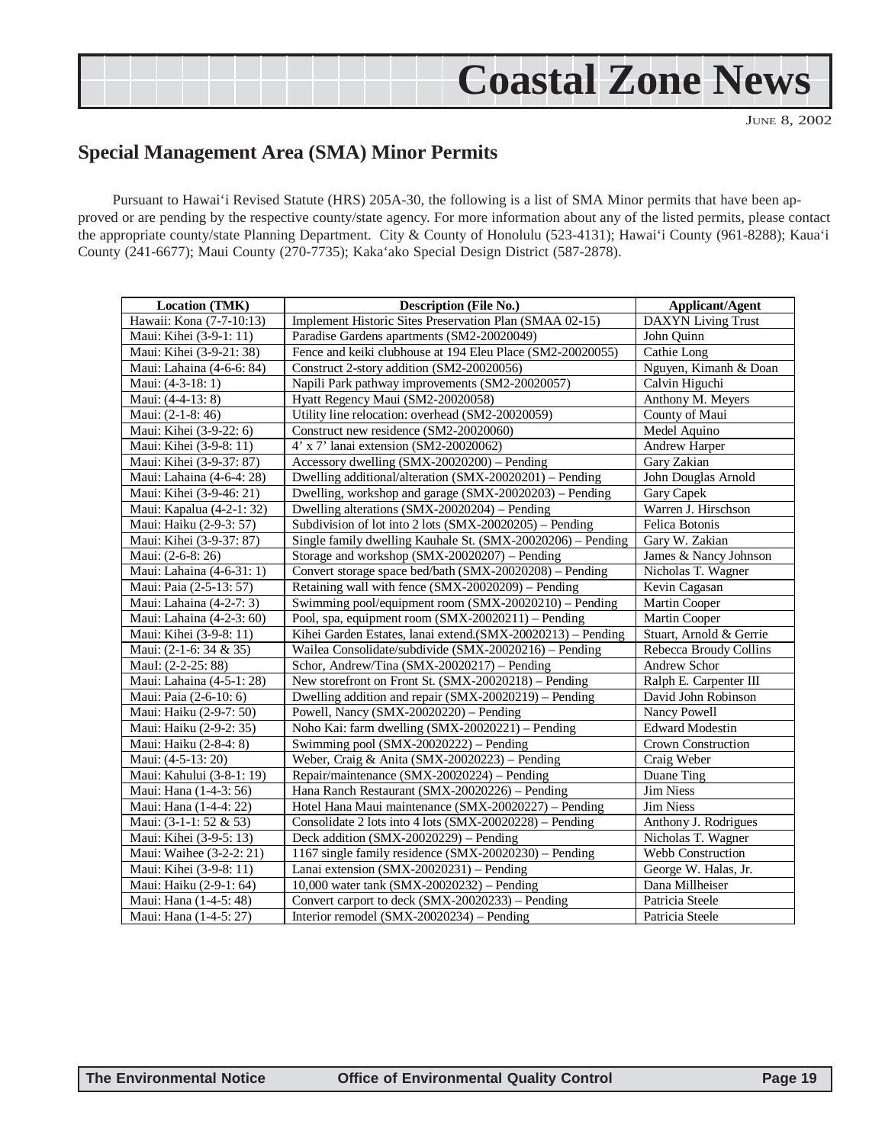## **Coastal Zone News**

JUNE 8, 2002

### <span id="page-18-0"></span>**Special Management Area (SMA) Minor Permits**

Pursuant to Hawai'i Revised Statute (HRS) 205A-30, the following is a list of SMA Minor permits that have been approved or are pending by the respective county/state agency. For more information about any of the listed permits, please contact the appropriate county/state Planning Department. City & County of Honolulu (523-4131); Hawai'i County (961-8288); Kaua'i County (241-6677); Maui County (270-7735); Kaka'ako Special Design District (587-2878).

| <b>Location (TMK)</b>     | <b>Description (File No.)</b>                               | <b>Applicant/Agent</b>    |
|---------------------------|-------------------------------------------------------------|---------------------------|
| Hawaii: Kona (7-7-10:13)  | Implement Historic Sites Preservation Plan (SMAA 02-15)     | <b>DAXYN</b> Living Trust |
| Maui: Kihei (3-9-1: 11)   | Paradise Gardens apartments (SM2-20020049)                  | John Quinn                |
| Maui: Kihei (3-9-21: 38)  | Fence and keiki clubhouse at 194 Eleu Place (SM2-20020055)  | Cathie Long               |
| Maui: Lahaina (4-6-6: 84) | Construct 2-story addition (SM2-20020056)                   | Nguyen, Kimanh & Doan     |
| Maui: (4-3-18: 1)         | Napili Park pathway improvements (SM2-20020057)             | Calvin Higuchi            |
| Maui: (4-4-13: 8)         | Hyatt Regency Maui (SM2-20020058)                           | Anthony M. Meyers         |
| Maui: (2-1-8: 46)         | Utility line relocation: overhead (SM2-20020059)            | County of Maui            |
| Maui: Kihei (3-9-22: 6)   | Construct new residence (SM2-20020060)                      | Medel Aquino              |
| Maui: Kihei (3-9-8: 11)   | 4' x 7' lanai extension (SM2-20020062)                      | Andrew Harper             |
| Maui: Kihei (3-9-37: 87)  | Accessory dwelling (SMX-20020200) - Pending                 | Gary Zakian               |
| Maui: Lahaina (4-6-4: 28) | Dwelling additional/alteration (SMX-20020201) – Pending     | John Douglas Arnold       |
| Maui: Kihei (3-9-46: 21)  | Dwelling, workshop and garage (SMX-20020203) - Pending      | Gary Capek                |
| Maui: Kapalua (4-2-1: 32) | Dwelling alterations (SMX-20020204) - Pending               | Warren J. Hirschson       |
| Maui: Haiku (2-9-3: 57)   | Subdivision of lot into 2 lots (SMX-20020205) – Pending     | Felica Botonis            |
| Maui: Kihei (3-9-37: 87)  | Single family dwelling Kauhale St. (SMX-20020206) - Pending | Gary W. Zakian            |
| Maui: (2-6-8: 26)         | Storage and workshop (SMX-20020207) - Pending               | James & Nancy Johnson     |
| Maui: Lahaina (4-6-31: 1) | Convert storage space bed/bath (SMX-20020208) - Pending     | Nicholas T. Wagner        |
| Maui: Paia (2-5-13: 57)   | Retaining wall with fence (SMX-20020209) - Pending          | Kevin Cagasan             |
| Maui: Lahaina (4-2-7: 3)  | Swimming pool/equipment room (SMX-20020210) – Pending       | Martin Cooper             |
| Maui: Lahaina (4-2-3: 60) | Pool, spa, equipment room (SMX-20020211) – Pending          | Martin Cooper             |
| Maui: Kihei (3-9-8: 11)   | Kihei Garden Estates, lanai extend.(SMX-20020213) – Pending | Stuart, Arnold & Gerrie   |
| Maui: (2-1-6: 34 & 35)    | Wailea Consolidate/subdivide (SMX-20020216) – Pending       | Rebecca Broudy Collins    |
| MauI: (2-2-25: 88)        | Schor, Andrew/Tina (SMX-20020217) - Pending                 | Andrew Schor              |
| Maui: Lahaina (4-5-1: 28) | New storefront on Front St. (SMX-20020218) – Pending        | Ralph E. Carpenter III    |
| Maui: Paia (2-6-10: 6)    | Dwelling addition and repair (SMX-20020219) - Pending       | David John Robinson       |
| Maui: Haiku (2-9-7: 50)   | Powell, Nancy (SMX-20020220) - Pending                      | Nancy Powell              |
| Maui: Haiku (2-9-2: 35)   | Noho Kai: farm dwelling (SMX-20020221) - Pending            | <b>Edward Modestin</b>    |
| Maui: Haiku (2-8-4: 8)    | Swimming pool (SMX-20020222) – Pending                      | Crown Construction        |
| Maui: (4-5-13: 20)        | Weber, Craig & Anita (SMX-20020223) - Pending               | Craig Weber               |
| Maui: Kahului (3-8-1: 19) | Repair/maintenance (SMX-20020224) - Pending                 | Duane Ting                |
| Maui: Hana (1-4-3: 56)    | Hana Ranch Restaurant (SMX-20020226) - Pending              | Jim Niess                 |
| Maui: Hana (1-4-4: 22)    | Hotel Hana Maui maintenance (SMX-20020227) – Pending        | <b>Jim Niess</b>          |
| Maui: (3-1-1: 52 & 53)    | Consolidate 2 lots into 4 lots (SMX-20020228) – Pending     | Anthony J. Rodrigues      |
| Maui: Kihei (3-9-5: 13)   | Deck addition (SMX-20020229) – Pending                      | Nicholas T. Wagner        |
| Maui: Waihee (3-2-2: 21)  | 1167 single family residence (SMX-20020230) – Pending       | <b>Webb Construction</b>  |
| Maui: Kihei (3-9-8: 11)   | Lanai extension (SMX-20020231) - Pending                    | George W. Halas, Jr.      |
| Maui: Haiku (2-9-1: 64)   | 10,000 water tank (SMX-20020232) - Pending                  | Dana Millheiser           |
| Maui: Hana (1-4-5: 48)    | Convert carport to deck (SMX-20020233) – Pending            | Patricia Steele           |
| Maui: Hana (1-4-5: 27)    | Interior remodel (SMX-20020234) - Pending                   | Patricia Steele           |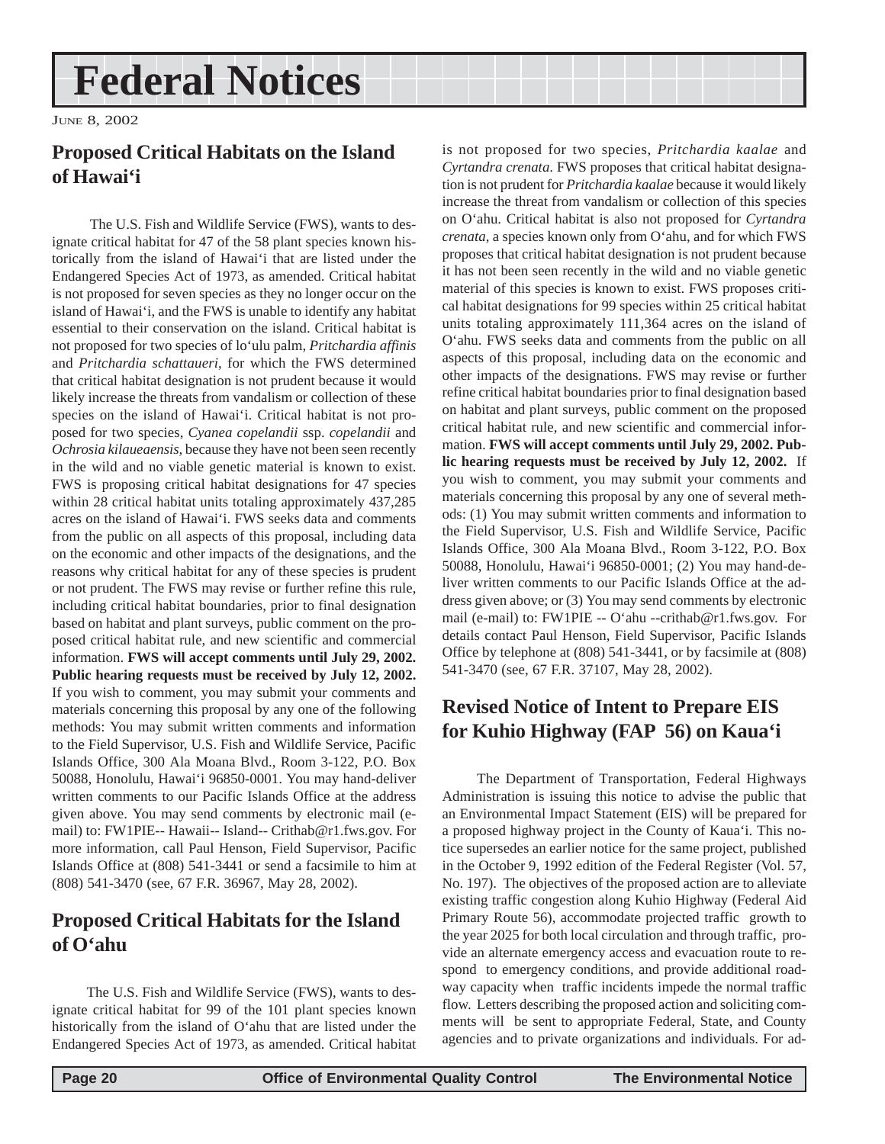## <span id="page-19-0"></span>**Federal Notices**

JUNE 8, 2002

### **Proposed Critical Habitats on the Island of Hawai'i**

 The U.S. Fish and Wildlife Service (FWS), wants to designate critical habitat for 47 of the 58 plant species known historically from the island of Hawai'i that are listed under the Endangered Species Act of 1973, as amended. Critical habitat is not proposed for seven species as they no longer occur on the island of Hawai'i, and the FWS is unable to identify any habitat essential to their conservation on the island. Critical habitat is not proposed for two species of lo'ulu palm, *Pritchardia affinis* and *Pritchardia schattaueri*, for which the FWS determined that critical habitat designation is not prudent because it would likely increase the threats from vandalism or collection of these species on the island of Hawai'i. Critical habitat is not proposed for two species, *Cyanea copelandii* ssp. *copelandii* and *Ochrosia kilaueaensis*, because they have not been seen recently in the wild and no viable genetic material is known to exist. FWS is proposing critical habitat designations for 47 species within 28 critical habitat units totaling approximately 437,285 acres on the island of Hawai'i. FWS seeks data and comments from the public on all aspects of this proposal, including data on the economic and other impacts of the designations, and the reasons why critical habitat for any of these species is prudent or not prudent. The FWS may revise or further refine this rule, including critical habitat boundaries, prior to final designation based on habitat and plant surveys, public comment on the proposed critical habitat rule, and new scientific and commercial information. **FWS will accept comments until July 29, 2002. Public hearing requests must be received by July 12, 2002.** If you wish to comment, you may submit your comments and materials concerning this proposal by any one of the following methods: You may submit written comments and information to the Field Supervisor, U.S. Fish and Wildlife Service, Pacific Islands Office, 300 Ala Moana Blvd., Room 3-122, P.O. Box 50088, Honolulu, Hawai'i 96850-0001. You may hand-deliver written comments to our Pacific Islands Office at the address given above. You may send comments by electronic mail (email) to: FW1PIE-- Hawaii-- Island-- Crithab@r1.fws.gov. For more information, call Paul Henson, Field Supervisor, Pacific Islands Office at (808) 541-3441 or send a facsimile to him at (808) 541-3470 (see, 67 F.R. 36967, May 28, 2002).

### **Proposed Critical Habitats for the Island of O'ahu**

The U.S. Fish and Wildlife Service (FWS), wants to designate critical habitat for 99 of the 101 plant species known historically from the island of O'ahu that are listed under the Endangered Species Act of 1973, as amended. Critical habitat

is not proposed for two species, *Pritchardia kaalae* and *Cyrtandra crenata*. FWS proposes that critical habitat designation is not prudent for *Pritchardia kaalae* because it would likely increase the threat from vandalism or collection of this species on O'ahu. Critical habitat is also not proposed for *Cyrtandra crenata*, a species known only from O'ahu, and for which FWS proposes that critical habitat designation is not prudent because it has not been seen recently in the wild and no viable genetic material of this species is known to exist. FWS proposes critical habitat designations for 99 species within 25 critical habitat units totaling approximately 111,364 acres on the island of O'ahu. FWS seeks data and comments from the public on all aspects of this proposal, including data on the economic and other impacts of the designations. FWS may revise or further refine critical habitat boundaries prior to final designation based on habitat and plant surveys, public comment on the proposed critical habitat rule, and new scientific and commercial information. **FWS will accept comments until July 29, 2002. Public hearing requests must be received by July 12, 2002.** If you wish to comment, you may submit your comments and materials concerning this proposal by any one of several methods: (1) You may submit written comments and information to the Field Supervisor, U.S. Fish and Wildlife Service, Pacific Islands Office, 300 Ala Moana Blvd., Room 3-122, P.O. Box 50088, Honolulu, Hawai'i 96850-0001; (2) You may hand-deliver written comments to our Pacific Islands Office at the address given above; or (3) You may send comments by electronic mail (e-mail) to: FW1PIE -- O'ahu --crithab@r1.fws.gov. For details contact Paul Henson, Field Supervisor, Pacific Islands Office by telephone at (808) 541-3441, or by facsimile at (808) 541-3470 (see, 67 F.R. 37107, May 28, 2002).

### **Revised Notice of Intent to Prepare EIS for Kuhio Highway (FAP 56) on Kaua'i**

The Department of Transportation, Federal Highways Administration is issuing this notice to advise the public that an Environmental Impact Statement (EIS) will be prepared for a proposed highway project in the County of Kaua'i. This notice supersedes an earlier notice for the same project, published in the October 9, 1992 edition of the Federal Register (Vol. 57, No. 197). The objectives of the proposed action are to alleviate existing traffic congestion along Kuhio Highway (Federal Aid Primary Route 56), accommodate projected traffic growth to the year 2025 for both local circulation and through traffic, provide an alternate emergency access and evacuation route to respond to emergency conditions, and provide additional roadway capacity when traffic incidents impede the normal traffic flow. Letters describing the proposed action and soliciting comments will be sent to appropriate Federal, State, and County agencies and to private organizations and individuals. For ad-